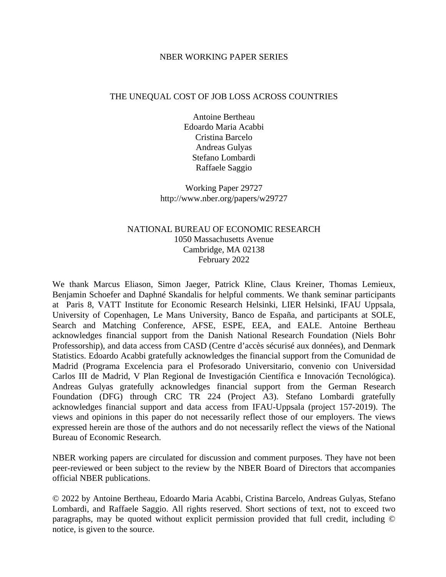#### NBER WORKING PAPER SERIES

#### THE UNEQUAL COST OF JOB LOSS ACROSS COUNTRIES

Antoine Bertheau Edoardo Maria Acabbi Cristina Barcelo Andreas Gulyas Stefano Lombardi Raffaele Saggio

Working Paper 29727 http://www.nber.org/papers/w29727

#### NATIONAL BUREAU OF ECONOMIC RESEARCH 1050 Massachusetts Avenue Cambridge, MA 02138 February 2022

We thank Marcus Eliason, Simon Jaeger, Patrick Kline, Claus Kreiner, Thomas Lemieux, Benjamin Schoefer and Daphné Skandalis for helpful comments. We thank seminar participants at Paris 8, VATT Institute for Economic Research Helsinki, LIER Helsinki, IFAU Uppsala, University of Copenhagen, Le Mans University, Banco de España, and participants at SOLE, Search and Matching Conference, AFSE, ESPE, EEA, and EALE. Antoine Bertheau acknowledges financial support from the Danish National Research Foundation (Niels Bohr Professorship), and data access from CASD (Centre d'accès sécurisé aux données), and Denmark Statistics. Edoardo Acabbi gratefully acknowledges the financial support from the Comunidad de Madrid (Programa Excelencia para el Profesorado Universitario, convenio con Universidad Carlos III de Madrid, V Plan Regional de Investigación Científica e Innovación Tecnológica). Andreas Gulyas gratefully acknowledges financial support from the German Research Foundation (DFG) through CRC TR 224 (Project A3). Stefano Lombardi gratefully acknowledges financial support and data access from IFAU-Uppsala (project 157-2019). The views and opinions in this paper do not necessarily reflect those of our employers. The views expressed herein are those of the authors and do not necessarily reflect the views of the National Bureau of Economic Research.

NBER working papers are circulated for discussion and comment purposes. They have not been peer-reviewed or been subject to the review by the NBER Board of Directors that accompanies official NBER publications.

© 2022 by Antoine Bertheau, Edoardo Maria Acabbi, Cristina Barcelo, Andreas Gulyas, Stefano Lombardi, and Raffaele Saggio. All rights reserved. Short sections of text, not to exceed two paragraphs, may be quoted without explicit permission provided that full credit, including © notice, is given to the source.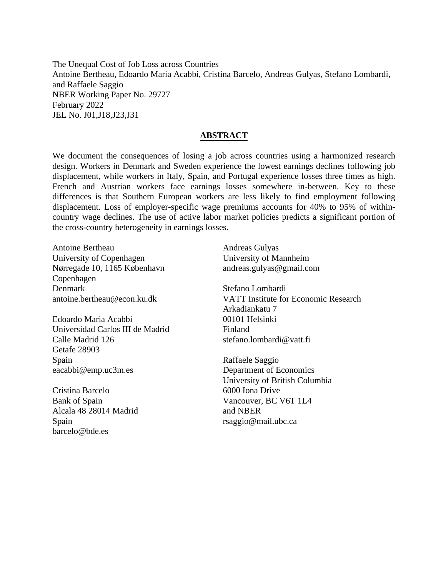The Unequal Cost of Job Loss across Countries Antoine Bertheau, Edoardo Maria Acabbi, Cristina Barcelo, Andreas Gulyas, Stefano Lombardi, and Raffaele Saggio NBER Working Paper No. 29727 February 2022 JEL No. J01,J18,J23,J31

#### **ABSTRACT**

We document the consequences of losing a job across countries using a harmonized research design. Workers in Denmark and Sweden experience the lowest earnings declines following job displacement, while workers in Italy, Spain, and Portugal experience losses three times as high. French and Austrian workers face earnings losses somewhere in-between. Key to these differences is that Southern European workers are less likely to find employment following displacement. Loss of employer-specific wage premiums accounts for 40% to 95% of withincountry wage declines. The use of active labor market policies predicts a significant portion of the cross-country heterogeneity in earnings losses.

Antoine Bertheau University of Copenhagen Nørregade 10, 1165 København Copenhagen Denmark antoine.bertheau@econ.ku.dk

Edoardo Maria Acabbi Universidad Carlos III de Madrid Calle Madrid 126 Getafe 28903 Spain eacabbi@emp.uc3m.es

Cristina Barcelo Bank of Spain Alcala 48 28014 Madrid Spain barcelo@bde.es

Andreas Gulyas University of Mannheim andreas.gulyas@gmail.com

Stefano Lombardi VATT Institute for Economic Research Arkadiankatu 7 00101 Helsinki Finland stefano.lombardi@vatt.fi

Raffaele Saggio Department of Economics University of British Columbia 6000 Iona Drive Vancouver, BC V6T 1L4 and NBER rsaggio@mail.ubc.ca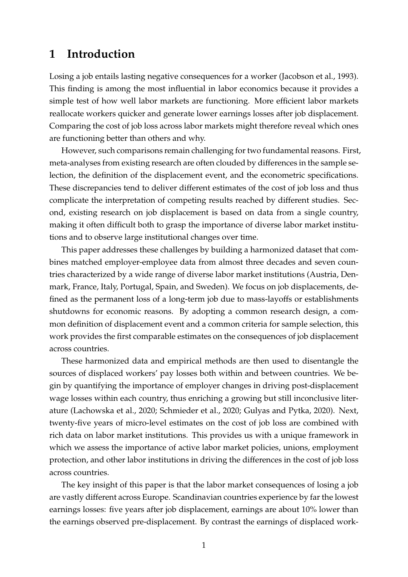## **1 Introduction**

Losing a job entails lasting negative consequences for a worker [\(Jacobson et al., 1993\)](#page-21-0). This finding is among the most influential in labor economics because it provides a simple test of how well labor markets are functioning. More efficient labor markets reallocate workers quicker and generate lower earnings losses after job displacement. Comparing the cost of job loss across labor markets might therefore reveal which ones are functioning better than others and why.

However, such comparisons remain challenging for two fundamental reasons. First, meta-analyses from existing research are often clouded by differences in the sample selection, the definition of the displacement event, and the econometric specifications. These discrepancies tend to deliver different estimates of the cost of job loss and thus complicate the interpretation of competing results reached by different studies. Second, existing research on job displacement is based on data from a single country, making it often difficult both to grasp the importance of diverse labor market institutions and to observe large institutional changes over time.

This paper addresses these challenges by building a harmonized dataset that combines matched employer-employee data from almost three decades and seven countries characterized by a wide range of diverse labor market institutions (Austria, Denmark, France, Italy, Portugal, Spain, and Sweden). We focus on job displacements, defined as the permanent loss of a long-term job due to mass-layoffs or establishments shutdowns for economic reasons. By adopting a common research design, a common definition of displacement event and a common criteria for sample selection, this work provides the first comparable estimates on the consequences of job displacement across countries.

These harmonized data and empirical methods are then used to disentangle the sources of displaced workers' pay losses both within and between countries. We begin by quantifying the importance of employer changes in driving post-displacement wage losses within each country, thus enriching a growing but still inconclusive literature [\(Lachowska et al., 2020;](#page-21-1) [Schmieder et al., 2020;](#page-21-2) [Gulyas and Pytka, 2020\)](#page-20-0). Next, twenty-five years of micro-level estimates on the cost of job loss are combined with rich data on labor market institutions. This provides us with a unique framework in which we assess the importance of active labor market policies, unions, employment protection, and other labor institutions in driving the differences in the cost of job loss across countries.

The key insight of this paper is that the labor market consequences of losing a job are vastly different across Europe. Scandinavian countries experience by far the lowest earnings losses: five years after job displacement, earnings are about 10% lower than the earnings observed pre-displacement. By contrast the earnings of displaced work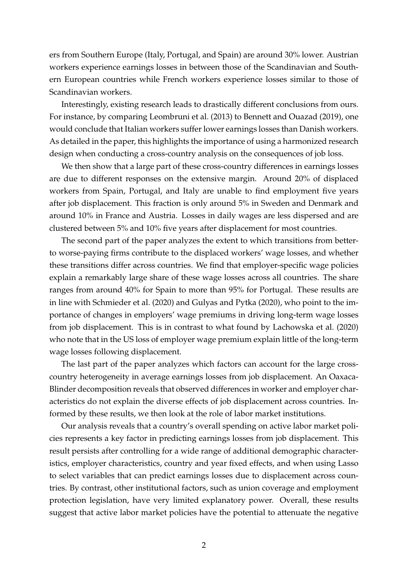ers from Southern Europe (Italy, Portugal, and Spain) are around 30% lower. Austrian workers experience earnings losses in between those of the Scandinavian and Southern European countries while French workers experience losses similar to those of Scandinavian workers.

Interestingly, existing research leads to drastically different conclusions from ours. For instance, by comparing [Leombruni et al.](#page-21-3) [\(2013\)](#page-21-3) to [Bennett and Ouazad](#page-20-1) [\(2019\)](#page-20-1), one would conclude that Italian workers suffer lower earnings losses than Danish workers. As detailed in the paper, this highlights the importance of using a harmonized research design when conducting a cross-country analysis on the consequences of job loss.

We then show that a large part of these cross-country differences in earnings losses are due to different responses on the extensive margin. Around 20% of displaced workers from Spain, Portugal, and Italy are unable to find employment five years after job displacement. This fraction is only around 5% in Sweden and Denmark and around 10% in France and Austria. Losses in daily wages are less dispersed and are clustered between 5% and 10% five years after displacement for most countries.

The second part of the paper analyzes the extent to which transitions from betterto worse-paying firms contribute to the displaced workers' wage losses, and whether these transitions differ across countries. We find that employer-specific wage policies explain a remarkably large share of these wage losses across all countries. The share ranges from around 40% for Spain to more than 95% for Portugal. These results are in line with [Schmieder et al.](#page-21-2) [\(2020\)](#page-21-2) and [Gulyas and Pytka](#page-20-0) [\(2020\)](#page-20-0), who point to the importance of changes in employers' wage premiums in driving long-term wage losses from job displacement. This is in contrast to what found by [Lachowska et al.](#page-21-1) [\(2020\)](#page-21-1) who note that in the US loss of employer wage premium explain little of the long-term wage losses following displacement.

The last part of the paper analyzes which factors can account for the large crosscountry heterogeneity in average earnings losses from job displacement. An Oaxaca-Blinder decomposition reveals that observed differences in worker and employer characteristics do not explain the diverse effects of job displacement across countries. Informed by these results, we then look at the role of labor market institutions.

Our analysis reveals that a country's overall spending on active labor market policies represents a key factor in predicting earnings losses from job displacement. This result persists after controlling for a wide range of additional demographic characteristics, employer characteristics, country and year fixed effects, and when using Lasso to select variables that can predict earnings losses due to displacement across countries. By contrast, other institutional factors, such as union coverage and employment protection legislation, have very limited explanatory power. Overall, these results suggest that active labor market policies have the potential to attenuate the negative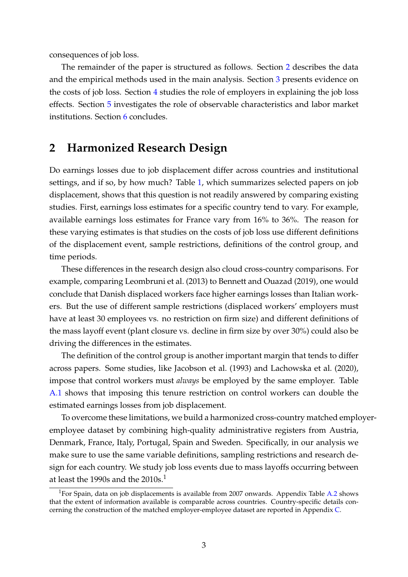consequences of job loss.

The remainder of the paper is structured as follows. Section [2](#page-4-0) describes the data and the empirical methods used in the main analysis. Section [3](#page-8-0) presents evidence on the costs of job loss. Section [4](#page-11-0) studies the role of employers in explaining the job loss effects. Section [5](#page-14-0) investigates the role of observable characteristics and labor market institutions. Section [6](#page-18-0) concludes.

## <span id="page-4-0"></span>**2 Harmonized Research Design**

Do earnings losses due to job displacement differ across countries and institutional settings, and if so, by how much? Table [1,](#page-6-0) which summarizes selected papers on job displacement, shows that this question is not readily answered by comparing existing studies. First, earnings loss estimates for a specific country tend to vary. For example, available earnings loss estimates for France vary from 16% to 36%. The reason for these varying estimates is that studies on the costs of job loss use different definitions of the displacement event, sample restrictions, definitions of the control group, and time periods.

These differences in the research design also cloud cross-country comparisons. For example, comparing [Leombruni et al.](#page-21-3) [\(2013\)](#page-21-3) to [Bennett and Ouazad](#page-20-1) [\(2019\)](#page-20-1), one would conclude that Danish displaced workers face higher earnings losses than Italian workers. But the use of different sample restrictions (displaced workers' employers must have at least 30 employees vs. no restriction on firm size) and different definitions of the mass layoff event (plant closure vs. decline in firm size by over 30%) could also be driving the differences in the estimates.

The definition of the control group is another important margin that tends to differ across papers. Some studies, like [Jacobson et al.](#page-21-0) [\(1993\)](#page-21-0) and [Lachowska et al.](#page-21-1) [\(2020\)](#page-21-1), impose that control workers must *always* be employed by the same employer. Table [A.1](#page-23-0) shows that imposing this tenure restriction on control workers can double the estimated earnings losses from job displacement.

To overcome these limitations, we build a harmonized cross-country matched employeremployee dataset by combining high-quality administrative registers from Austria, Denmark, France, Italy, Portugal, Spain and Sweden. Specifically, in our analysis we make sure to use the same variable definitions, sampling restrictions and research design for each country. We study job loss events due to mass layoffs occurring between at least the 1990s and the 2010s.<sup>1</sup>

<sup>&</sup>lt;sup>1</sup>For Spain, data on job displacements is available from 2007 onwards. Appendix Table [A.2](#page-24-0) shows that the extent of information available is comparable across countries. Country-specific details concerning the construction of the matched employer-employee dataset are reported in Appendix [C.](#page-38-0)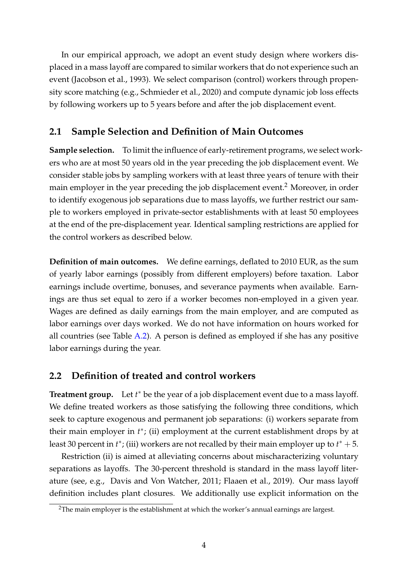In our empirical approach, we adopt an event study design where workers displaced in a mass layoff are compared to similar workers that do not experience such an event [\(Jacobson et al., 1993\)](#page-21-0). We select comparison (control) workers through propensity score matching (e.g., [Schmieder et al., 2020\)](#page-21-2) and compute dynamic job loss effects by following workers up to 5 years before and after the job displacement event.

## <span id="page-5-0"></span>**2.1 Sample Selection and Definition of Main Outcomes**

**Sample selection.** To limit the influence of early-retirement programs, we select workers who are at most 50 years old in the year preceding the job displacement event. We consider stable jobs by sampling workers with at least three years of tenure with their main employer in the year preceding the job displacement event.<sup>2</sup> Moreover, in order to identify exogenous job separations due to mass layoffs, we further restrict our sample to workers employed in private-sector establishments with at least 50 employees at the end of the pre-displacement year. Identical sampling restrictions are applied for the control workers as described below.

**Definition of main outcomes.** We define earnings, deflated to 2010 EUR, as the sum of yearly labor earnings (possibly from different employers) before taxation. Labor earnings include overtime, bonuses, and severance payments when available. Earnings are thus set equal to zero if a worker becomes non-employed in a given year. Wages are defined as daily earnings from the main employer, and are computed as labor earnings over days worked. We do not have information on hours worked for all countries (see Table [A.2\)](#page-24-0). A person is defined as employed if she has any positive labor earnings during the year.

## **2.2 Definition of treated and control workers**

Treatment group. Let *t*<sup>\*</sup> be the year of a job displacement event due to a mass layoff. We define treated workers as those satisfying the following three conditions, which seek to capture exogenous and permanent job separations: (i) workers separate from their main employer in  $t^*$ ; (ii) employment at the current establishment drops by at least 30 percent in  $t^*$ ; (iii) workers are not recalled by their main employer up to  $t^* + 5$ .

Restriction (ii) is aimed at alleviating concerns about mischaracterizing voluntary separations as layoffs. The 30-percent threshold is standard in the mass layoff literature (see, e.g., [Davis and Von Watcher, 2011;](#page-20-2) [Flaaen et al., 2019\)](#page-20-3). Our mass layoff definition includes plant closures. We additionally use explicit information on the

<sup>&</sup>lt;sup>2</sup>The main employer is the establishment at which the worker's annual earnings are largest.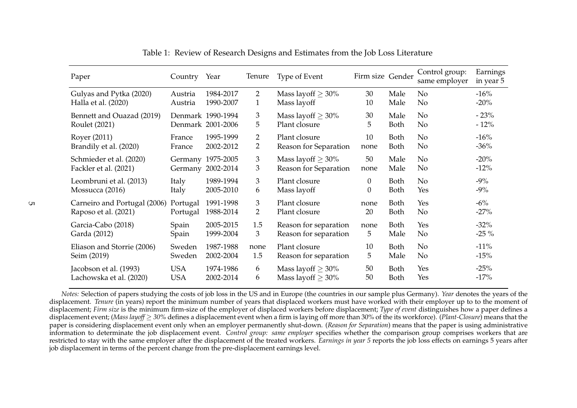| Paper                        | Country Year |                   | Tenure                | Type of Event           | Firm size Gender |             | Control group:<br>same employer | Earnings<br>in year 5 |
|------------------------------|--------------|-------------------|-----------------------|-------------------------|------------------|-------------|---------------------------------|-----------------------|
| Gulyas and Pytka (2020)      | Austria      | 1984-2017         | $\mathbf{2}^{\prime}$ | Mass layoff $\geq 30\%$ | 30               | Male        | No                              | $-16%$                |
| Halla et al. (2020)          | Austria      | 1990-2007         | $\mathbf{1}$          | Mass layoff             | 10               | Male        | No                              | $-20%$                |
| Bennett and Ouazad (2019)    |              | Denmark 1990-1994 | 3                     | Mass layoff $\geq 30\%$ | 30               | Male        | N <sub>o</sub>                  | $-23%$                |
| Roulet (2021)                |              | Denmark 2001-2006 | 5                     | Plant closure           | 5                | <b>Both</b> | No                              | $-12%$                |
| Royer (2011)                 | France       | 1995-1999         | $\overline{2}$        | Plant closure           | 10               | Both        | N <sub>o</sub>                  | $-16%$                |
| Brandily et al. (2020)       | France       | 2002-2012         | 2                     | Reason for Separation   | none             | Both        | No                              | $-36%$                |
| Schmieder et al. (2020)      | Germany      | Germany 1975-2005 | 3                     | Mass layoff $\geq 30\%$ | 50               | Male        | N <sub>o</sub>                  | $-20%$                |
| Fackler et al. (2021)        |              | 2002-2014         | 3                     | Reason for Separation   | none             | Male        | No                              | $-12%$                |
| Leombruni et al. (2013)      | Italy        | 1989-1994         | 3                     | Plant closure           | $\overline{0}$   | <b>Both</b> | No                              | $-9\%$                |
| Mossucca (2016)              | Italy        | 2005-2010         | 6                     | Mass layoff             | 0                | Both        | Yes                             | $-9\%$                |
| Carneiro and Portugal (2006) | Portugal     | 1991-1998         | 3                     | Plant closure           | none             | Both        | Yes                             | $-6\%$                |
| Raposo et al. (2021)         | Portugal     | 1988-2014         | 2                     | Plant closure           | 20               | <b>Both</b> | N <sub>o</sub>                  | $-27%$                |
| Garcia-Cabo (2018)           | Spain        | 2005-2015         | 1.5                   | Reason for separation   | none             | <b>Both</b> | Yes                             | $-32%$                |
| Garda (2012)                 | Spain        | 1999-2004         | 3                     | Reason for separation   | 5                | Male        | N <sub>o</sub>                  | $-25\%$               |
| Eliason and Storrie (2006)   | Sweden       | 1987-1988         | none                  | Plant closure           | 10               | Both        | N <sub>o</sub>                  | $-11%$                |
| Seim (2019)                  | Sweden       | 2002-2004         | 1.5                   | Reason for separation   | 5                | Male        | No                              | $-15%$                |
| Jacobson et al. (1993)       | <b>USA</b>   | 1974-1986         | 6                     | Mass layoff $\geq 30\%$ | 50               | <b>Both</b> | Yes                             | $-25%$                |
| Lachowska et al. (2020)      | <b>USA</b>   | 2002-2014         | 6                     | Mass layoff $\geq 30\%$ | 50               | Both        | Yes                             | $-17%$                |

Table 1: Review of Research Designs and Estimates from the Job Loss Literature

<span id="page-6-0"></span>*Notes:* Selection of papers studying the costs of job loss in the US and in Europe (the countries in our sample <sup>p</sup>lus Germany). *Year* denotes the years of the displacement. *Tenure* (in years) repor<sup>t</sup> the minimum number of years that displaced workers must have worked with their employer up to to the moment of displacement; *Firm size* is the minimum firm-size of the employer of displaced workers before displacement; *Type of event* distinguishes how <sup>a</sup> paper defines <sup>a</sup> displacement event; (*Mass layoff* ≥ *30%* defines <sup>a</sup> displacement event when <sup>a</sup> firm is laying off more than 30% of the its workforce). (*Plant-Closure*) means that the paper is considering displacement event only when an employer permanently shut-down. (*Reason for Separation*) means that the paper is using administrative information to determinate the job displacement event. *Control group: same employer* specifies whether the comparison group comprises workers that are restricted to stay with the same employer after the displacement of the treated workers. *Earnings in year <sup>5</sup>* reports the job loss effects on earnings <sup>5</sup> years after job displacement in terms of the percen<sup>t</sup> change from the pre-displacement earnings level.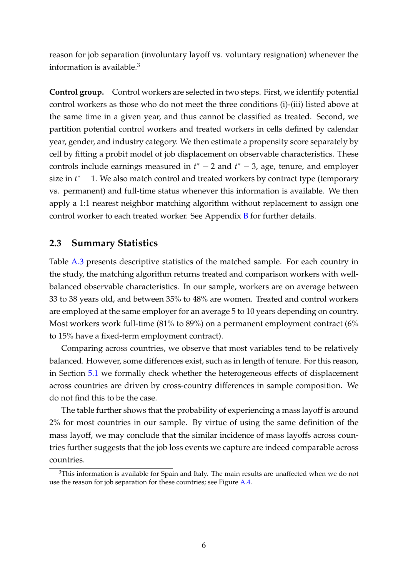reason for job separation (involuntary layoff vs. voluntary resignation) whenever the information is available.<sup>3</sup>

**Control group.** Control workers are selected in two steps. First, we identify potential control workers as those who do not meet the three conditions (i)-(iii) listed above at the same time in a given year, and thus cannot be classified as treated. Second, we partition potential control workers and treated workers in cells defined by calendar year, gender, and industry category. We then estimate a propensity score separately by cell by fitting a probit model of job displacement on observable characteristics. These controls include earnings measured in  $t^* - 2$  and  $t^* - 3$ , age, tenure, and employer size in *t*<sup>\*</sup> − 1. We also match control and treated workers by contract type (temporary vs. permanent) and full-time status whenever this information is available. We then apply a 1:1 nearest neighbor matching algorithm without replacement to assign one control worker to each treated worker. See Appendix [B](#page-35-0) for further details.

#### **2.3 Summary Statistics**

Table [A.3](#page-25-0) presents descriptive statistics of the matched sample. For each country in the study, the matching algorithm returns treated and comparison workers with wellbalanced observable characteristics. In our sample, workers are on average between 33 to 38 years old, and between 35% to 48% are women. Treated and control workers are employed at the same employer for an average 5 to 10 years depending on country. Most workers work full-time (81% to 89%) on a permanent employment contract (6% to 15% have a fixed-term employment contract).

Comparing across countries, we observe that most variables tend to be relatively balanced. However, some differences exist, such as in length of tenure. For this reason, in Section [5.1](#page-14-1) we formally check whether the heterogeneous effects of displacement across countries are driven by cross-country differences in sample composition. We do not find this to be the case.

The table further shows that the probability of experiencing a mass layoff is around 2% for most countries in our sample. By virtue of using the same definition of the mass layoff, we may conclude that the similar incidence of mass layoffs across countries further suggests that the job loss events we capture are indeed comparable across countries.

 $3$ This information is available for Spain and Italy. The main results are unaffected when we do not use the reason for job separation for these countries; see Figure [A.4.](#page-33-0)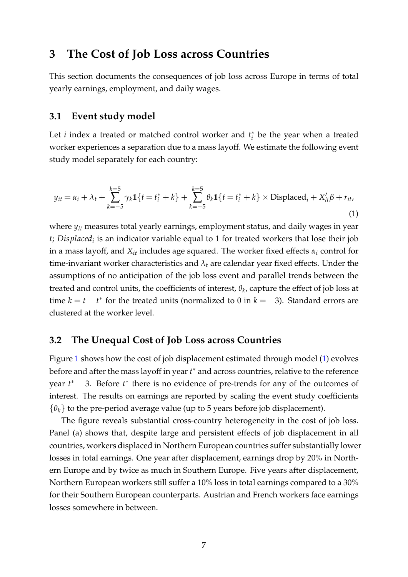## <span id="page-8-2"></span><span id="page-8-0"></span>**3 The Cost of Job Loss across Countries**

This section documents the consequences of job loss across Europe in terms of total yearly earnings, employment, and daily wages.

#### **3.1 Event study model**

Let *i* index a treated or matched control worker and  $t_i^*$  $i<sub>i</sub><sup>*</sup>$  be the year when a treated worker experiences a separation due to a mass layoff. We estimate the following event study model separately for each country:

<span id="page-8-1"></span>
$$
y_{it} = \alpha_i + \lambda_t + \sum_{k=-5}^{k=5} \gamma_k \mathbf{1}\{t = t_i^* + k\} + \sum_{k=-5}^{k=5} \theta_k \mathbf{1}\{t = t_i^* + k\} \times \text{Displaced}_i + X_{it}'\beta + r_{it},
$$
\n(1)

where *yit* measures total yearly earnings, employment status, and daily wages in year *t; Displaced<sub>i</sub>* is an indicator variable equal to 1 for treated workers that lose their job in a mass layoff, and *Xit* includes age squared. The worker fixed effects *α<sup>i</sup>* control for time-invariant worker characteristics and  $\lambda_t$  are calendar year fixed effects. Under the assumptions of no anticipation of the job loss event and parallel trends between the treated and control units, the coefficients of interest, *θ<sup>k</sup>* , capture the effect of job loss at time  $k = t - t^*$  for the treated units (normalized to 0 in  $k = -3$ ). Standard errors are clustered at the worker level.

#### <span id="page-8-3"></span>**3.2 The Unequal Cost of Job Loss across Countries**

Figure [1](#page-10-0) shows how the cost of job displacement estimated through model [\(1\)](#page-8-1) evolves before and after the mass layoff in year *t* <sup>∗</sup> and across countries, relative to the reference year  $t^*$  − 3. Before  $t^*$  there is no evidence of pre-trends for any of the outcomes of interest. The results on earnings are reported by scaling the event study coefficients  $\{\theta_k\}$  to the pre-period average value (up to 5 years before job displacement).

The figure reveals substantial cross-country heterogeneity in the cost of job loss. Panel (a) shows that, despite large and persistent effects of job displacement in all countries, workers displaced in Northern European countries suffer substantially lower losses in total earnings. One year after displacement, earnings drop by 20% in Northern Europe and by twice as much in Southern Europe. Five years after displacement, Northern European workers still suffer a 10% loss in total earnings compared to a 30% for their Southern European counterparts. Austrian and French workers face earnings losses somewhere in between.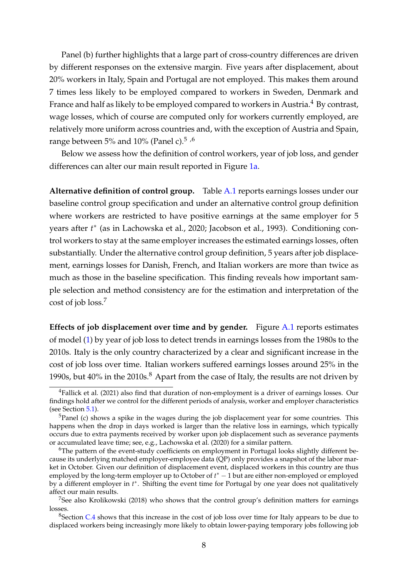Panel (b) further highlights that a large part of cross-country differences are driven by different responses on the extensive margin. Five years after displacement, about 20% workers in Italy, Spain and Portugal are not employed. This makes them around 7 times less likely to be employed compared to workers in Sweden, Denmark and France and half as likely to be employed compared to workers in Austria.<sup>4</sup> By contrast, wage losses, which of course are computed only for workers currently employed, are relatively more uniform across countries and, with the exception of Austria and Spain, range between 5% and 10% (Panel c).<sup>5</sup> ,<sup>6</sup>

Below we assess how the definition of control workers, year of job loss, and gender differences can alter our main result reported in Figure [1a.](#page-10-0)

**Alternative definition of control group.** Table [A.1](#page-23-0) reports earnings losses under our baseline control group specification and under an alternative control group definition where workers are restricted to have positive earnings at the same employer for 5 years after  $t^*$  (as in [Lachowska et al., 2020;](#page-21-1) [Jacobson et al., 1993\)](#page-21-0). Conditioning control workers to stay at the same employer increases the estimated earnings losses, often substantially. Under the alternative control group definition, 5 years after job displacement, earnings losses for Danish, French, and Italian workers are more than twice as much as those in the baseline specification. This finding reveals how important sample selection and method consistency are for the estimation and interpretation of the cost of job loss.<sup>7</sup>

**Effects of job displacement over time and by gender.** Figure [A.1](#page-30-0) reports estimates of model [\(1\)](#page-8-1) by year of job loss to detect trends in earnings losses from the 1980s to the 2010s. Italy is the only country characterized by a clear and significant increase in the cost of job loss over time. Italian workers suffered earnings losses around 25% in the 1990s, but  $40\%$  in the 2010s. $8$  Apart from the case of Italy, the results are not driven by

<sup>&</sup>lt;sup>4</sup>[Fallick et al.](#page-20-13) [\(2021\)](#page-20-13) also find that duration of non-employment is a driver of earnings losses. Our findings hold after we control for the different periods of analysis, worker and employer characteristics (see Section [5.1\)](#page-14-1).

 $5P$ anel (c) shows a spike in the wages during the job displacement year for some countries. This happens when the drop in days worked is larger than the relative loss in earnings, which typically occurs due to extra payments received by worker upon job displacement such as severance payments or accumulated leave time; see, e.g., [Lachowska et al.](#page-21-1) [\(2020\)](#page-21-1) for a similar pattern.

<sup>&</sup>lt;sup>6</sup>The pattern of the event-study coefficients on employment in Portugal looks slightly different because its underlying matched employer-employee data (QP) only provides a snapshot of the labor market in October. Given our definition of displacement event, displaced workers in this country are thus employed by the long-term employer up to October of *t* <sup>∗</sup> − 1 but are either non-employed or employed by a different employer in *t*<sup>\*</sup>. Shifting the event time for Portugal by one year does not qualitatively affect our main results.

<sup>&</sup>lt;sup>7</sup>See also [Krolikowski](#page-21-13) [\(2018\)](#page-21-13) who shows that the control group's definition matters for earnings losses.

 $8$ Section [C.4](#page-41-0) shows that this increase in the cost of job loss over time for Italy appears to be due to displaced workers being increasingly more likely to obtain lower-paying temporary jobs following job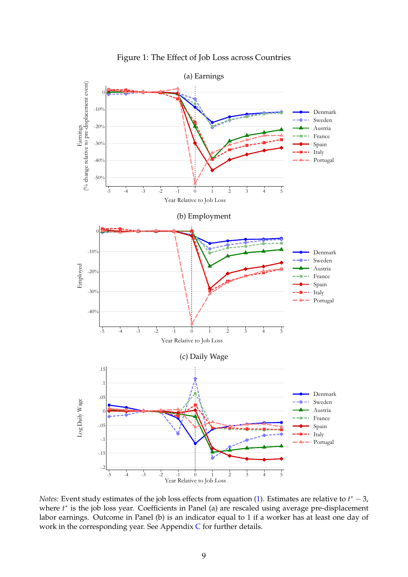<span id="page-10-0"></span>

Figure 1: The Effect of Job Loss across Countries

*Notes*: Event study estimates of the job loss effects from equation [\(1\)](#page-8-1). Estimates are relative to  $t^*$  − 3, where  $t^*$  is the job loss year. Coefficients in Panel (a) are rescaled using average pre-displacement labor earnings. Outcome in Panel (b) is an indicator equal to 1 if a worker has at least one day of work in the corresponding year. See Appendix [C](#page-38-0) for further details.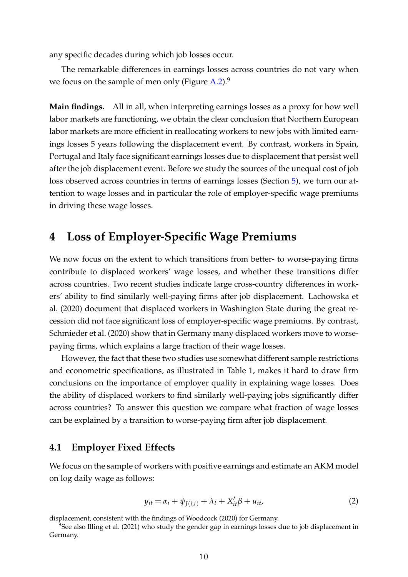<span id="page-11-2"></span>any specific decades during which job losses occur.

The remarkable differences in earnings losses across countries do not vary when we focus on the sample of men only (Figure  $A.2$ ).<sup>9</sup>

**Main findings.** All in all, when interpreting earnings losses as a proxy for how well labor markets are functioning, we obtain the clear conclusion that Northern European labor markets are more efficient in reallocating workers to new jobs with limited earnings losses 5 years following the displacement event. By contrast, workers in Spain, Portugal and Italy face significant earnings losses due to displacement that persist well after the job displacement event. Before we study the sources of the unequal cost of job loss observed across countries in terms of earnings losses (Section [5\)](#page-14-0), we turn our attention to wage losses and in particular the role of employer-specific wage premiums in driving these wage losses.

## <span id="page-11-0"></span>**4 Loss of Employer-Specific Wage Premiums**

We now focus on the extent to which transitions from better- to worse-paying firms contribute to displaced workers' wage losses, and whether these transitions differ across countries. Two recent studies indicate large cross-country differences in workers' ability to find similarly well-paying firms after job displacement. [Lachowska et](#page-21-1) [al.](#page-21-1) [\(2020\)](#page-21-1) document that displaced workers in Washington State during the great recession did not face significant loss of employer-specific wage premiums. By contrast, [Schmieder et al.](#page-21-2) [\(2020\)](#page-21-2) show that in Germany many displaced workers move to worsepaying firms, which explains a large fraction of their wage losses.

However, the fact that these two studies use somewhat different sample restrictions and econometric specifications, as illustrated in Table 1, makes it hard to draw firm conclusions on the importance of employer quality in explaining wage losses. Does the ability of displaced workers to find similarly well-paying jobs significantly differ across countries? To answer this question we compare what fraction of wage losses can be explained by a transition to worse-paying firm after job displacement.

#### **4.1 Employer Fixed Effects**

We focus on the sample of workers with positive earnings and estimate an AKM model on log daily wage as follows:

<span id="page-11-1"></span>
$$
y_{it} = \alpha_i + \psi_{J(i,t)} + \lambda_t + X_{it}'\beta + u_{it},
$$
\n(2)

displacement, consistent with the findings of [Woodcock](#page-21-14) [\(2020\)](#page-21-14) for Germany.

<sup>&</sup>lt;sup>9</sup>See also [Illing et al.](#page-20-14) [\(2021\)](#page-20-14) who study the gender gap in earnings losses due to job displacement in Germany.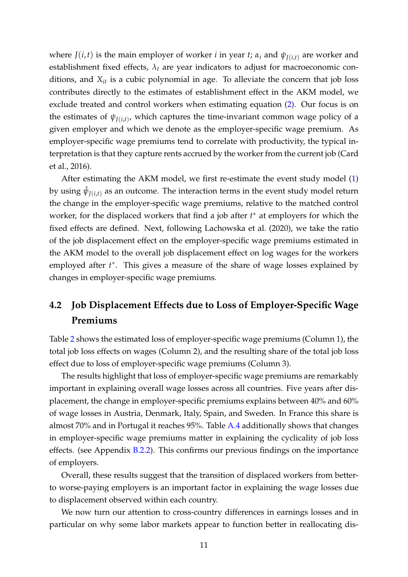where *J*(*i*,*t*) is the main employer of worker *i* in year *t*;  $\alpha_i$  and  $\psi_{I(i,t)}$  are worker and establishment fixed effects,  $\lambda_t$  are year indicators to adjust for macroeconomic conditions, and  $X_{it}$  is a cubic polynomial in age. To alleviate the concern that job loss contributes directly to the estimates of establishment effect in the AKM model, we exclude treated and control workers when estimating equation [\(2\)](#page-11-1). Our focus is on the estimates of  $\psi_{J(i,t)}$ , which captures the time-invariant common wage policy of a given employer and which we denote as the employer-specific wage premium. As employer-specific wage premiums tend to correlate with productivity, the typical interpretation is that they capture rents accrued by the worker from the current job [\(Card](#page-20-15) [et al., 2016\)](#page-20-15).

After estimating the AKM model, we first re-estimate the event study model [\(1\)](#page-8-1) by using  $\hat{\psi}_{J(i,t)}$  as an outcome. The interaction terms in the event study model return the change in the employer-specific wage premiums, relative to the matched control worker, for the displaced workers that find a job after *t*<sup>\*</sup> at employers for which the fixed effects are defined. Next, following [Lachowska et al.](#page-21-1) [\(2020\)](#page-21-1), we take the ratio of the job displacement effect on the employer-specific wage premiums estimated in the AKM model to the overall job displacement effect on log wages for the workers employed after  $t^*$ . This gives a measure of the share of wage losses explained by changes in employer-specific wage premiums.

## **4.2 Job Displacement Effects due to Loss of Employer-Specific Wage Premiums**

Table [2](#page-13-0) shows the estimated loss of employer-specific wage premiums (Column 1), the total job loss effects on wages (Column 2), and the resulting share of the total job loss effect due to loss of employer-specific wage premiums (Column 3).

The results highlight that loss of employer-specific wage premiums are remarkably important in explaining overall wage losses across all countries. Five years after displacement, the change in employer-specific premiums explains between 40% and 60% of wage losses in Austria, Denmark, Italy, Spain, and Sweden. In France this share is almost 70% and in Portugal it reaches 95%. Table [A.4](#page-26-0) additionally shows that changes in employer-specific wage premiums matter in explaining the cyclicality of job loss effects. (see Appendix [B.2.2\)](#page-35-1). This confirms our previous findings on the importance of employers.

Overall, these results suggest that the transition of displaced workers from betterto worse-paying employers is an important factor in explaining the wage losses due to displacement observed within each country.

We now turn our attention to cross-country differences in earnings losses and in particular on why some labor markets appear to function better in reallocating dis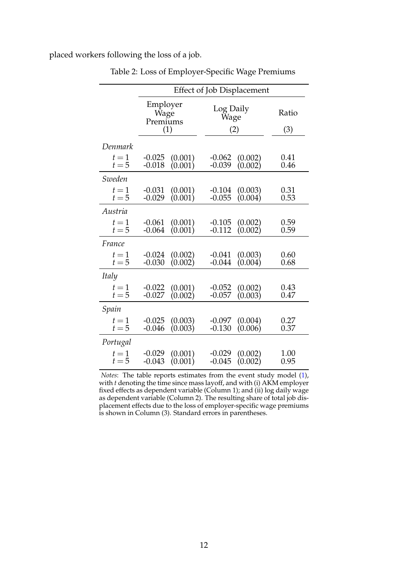<span id="page-13-0"></span>placed workers following the loss of a job.

|                  | <b>Effect of Job Displacement</b> |                    |                      |                    |              |  |  |  |  |  |
|------------------|-----------------------------------|--------------------|----------------------|--------------------|--------------|--|--|--|--|--|
|                  | Employer<br>Wage<br>Premiums      | (1)                | Log Daily<br>Wage    | (2)                | Ratio<br>(3) |  |  |  |  |  |
| Denmark          |                                   |                    |                      |                    |              |  |  |  |  |  |
| $t=1$<br>$t=5$   | $-0.025$<br>$-0.018$              | (0.001)<br>(0.001) | $-0.062$<br>$-0.039$ | (0.002)<br>(0.002) | 0.41<br>0.46 |  |  |  |  |  |
| Sweden           |                                   |                    |                      |                    |              |  |  |  |  |  |
| $t=1$<br>$t=5$   | $-0.031$<br>$-0.029$              | (0.001)<br>(0.001) | $-0.104$<br>$-0.055$ | (0.003)<br>(0.004) | 0.31<br>0.53 |  |  |  |  |  |
| Austria          |                                   |                    |                      |                    |              |  |  |  |  |  |
| $t=1$<br>$t=5$   | $-0.061$<br>$-0.064$              | (0.001)<br>(0.001) | $-0.105$<br>$-0.112$ | (0.002)<br>(0.002) | 0.59<br>0.59 |  |  |  |  |  |
| France           |                                   |                    |                      |                    |              |  |  |  |  |  |
| $t=1$<br>$t = 5$ | $-0.024$<br>$-0.030$              | (0.002)<br>(0.002) | $-0.041$<br>$-0.044$ | (0.003)<br>(0.004) | 0.60<br>0.68 |  |  |  |  |  |
| Italy            |                                   |                    |                      |                    |              |  |  |  |  |  |
| $t=1$<br>$t=5$   | $-0.022$<br>$-0.027$              | (0.001)<br>(0.002) | $-0.052$<br>$-0.057$ | (0.002)<br>(0.003) | 0.43<br>0.47 |  |  |  |  |  |
| Spain            |                                   |                    |                      |                    |              |  |  |  |  |  |
| $t=1$<br>$t=5$   | $-0.025$<br>$-0.046$              | (0.003)<br>(0.003) | $-0.097$<br>$-0.130$ | (0.004)<br>(0.006) | 0.27<br>0.37 |  |  |  |  |  |
| Portugal         |                                   |                    |                      |                    |              |  |  |  |  |  |
| $t=1$<br>$t=5$   | $-0.029$<br>$-0.043$              | (0.001)<br>(0.001) | $-0.029$<br>$-0.045$ | (0.002)<br>(0.002) | 1.00<br>0.95 |  |  |  |  |  |

Table 2: Loss of Employer-Specific Wage Premiums

*Notes*: The table reports estimates from the event study model [\(1\)](#page-8-1), with *t* denoting the time since mass layoff, and with (i) AKM employer fixed effects as dependent variable (Column 1); and (ii) log daily wage as dependent variable (Column 2). The resulting share of total job displacement effects due to the loss of employer-specific wage premiums is shown in Column (3). Standard errors in parentheses.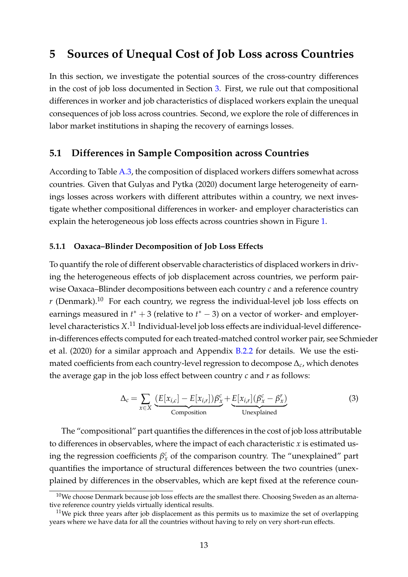## <span id="page-14-0"></span>**5 Sources of Unequal Cost of Job Loss across Countries**

In this section, we investigate the potential sources of the cross-country differences in the cost of job loss documented in Section [3.](#page-8-0) First, we rule out that compositional differences in worker and job characteristics of displaced workers explain the unequal consequences of job loss across countries. Second, we explore the role of differences in labor market institutions in shaping the recovery of earnings losses.

#### <span id="page-14-1"></span>**5.1 Differences in Sample Composition across Countries**

According to Table [A.3,](#page-25-0) the composition of displaced workers differs somewhat across countries. Given that [Gulyas and Pytka](#page-20-0) [\(2020\)](#page-20-0) document large heterogeneity of earnings losses across workers with different attributes within a country, we next investigate whether compositional differences in worker- and employer characteristics can explain the heterogeneous job loss effects across countries shown in Figure [1.](#page-10-0)

#### **5.1.1 Oaxaca–Blinder Decomposition of Job Loss Effects**

To quantify the role of different observable characteristics of displaced workers in driving the heterogeneous effects of job displacement across countries, we perform pairwise Oaxaca–Blinder decompositions between each country *c* and a reference country  $r$  (Denmark).<sup>10</sup> For each country, we regress the individual-level job loss effects on earnings measured in  $t^* + 3$  (relative to  $t^* - 3$ ) on a vector of worker- and employerlevel characteristics *X*. <sup>11</sup> Individual-level job loss effects are individual-level differencein-differences effects computed for each treated-matched control worker pair, see [Schm](#page-21-2)ieder [et al.](#page-21-2) [\(2020\)](#page-21-2) for a similar approach and Appendix [B.2.2](#page-35-1) for details. We use the estimated coefficients from each country-level regression to decompose ∆*c*, which denotes the average gap in the job loss effect between country *c* and *r* as follows:

$$
\Delta_c = \sum_{x \in X} \underbrace{(E[x_{i,c}] - E[x_{i,r}])\beta_x^c}_{\text{Composition}} + \underbrace{E[x_{i,r}](\beta_x^c - \beta_x^r)}_{\text{Unexplained}} \tag{3}
$$

The "compositional" part quantifies the differences in the cost of job loss attributable to differences in observables, where the impact of each characteristic *x* is estimated using the regression coefficients  $\beta_x^c$  of the comparison country. The "unexplained" part quantifies the importance of structural differences between the two countries (unexplained by differences in the observables, which are kept fixed at the reference coun-

 $10$ We choose Denmark because job loss effects are the smallest there. Choosing Sweden as an alternative reference country yields virtually identical results.

 $11$ We pick three years after job displacement as this permits us to maximize the set of overlapping years where we have data for all the countries without having to rely on very short-run effects.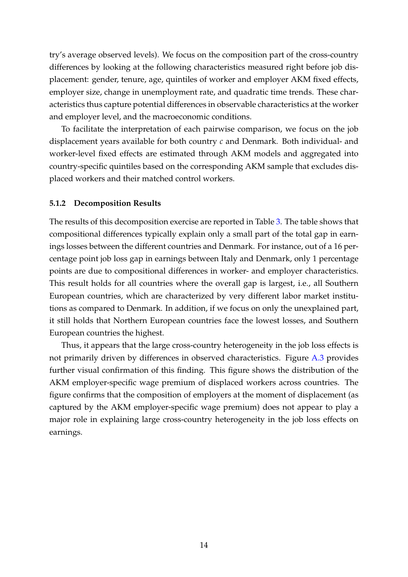try's average observed levels). We focus on the composition part of the cross-country differences by looking at the following characteristics measured right before job displacement: gender, tenure, age, quintiles of worker and employer AKM fixed effects, employer size, change in unemployment rate, and quadratic time trends. These characteristics thus capture potential differences in observable characteristics at the worker and employer level, and the macroeconomic conditions.

To facilitate the interpretation of each pairwise comparison, we focus on the job displacement years available for both country *c* and Denmark. Both individual- and worker-level fixed effects are estimated through AKM models and aggregated into country-specific quintiles based on the corresponding AKM sample that excludes displaced workers and their matched control workers.

#### **5.1.2 Decomposition Results**

The results of this decomposition exercise are reported in Table [3.](#page-16-0) The table shows that compositional differences typically explain only a small part of the total gap in earnings losses between the different countries and Denmark. For instance, out of a 16 percentage point job loss gap in earnings between Italy and Denmark, only 1 percentage points are due to compositional differences in worker- and employer characteristics. This result holds for all countries where the overall gap is largest, i.e., all Southern European countries, which are characterized by very different labor market institutions as compared to Denmark. In addition, if we focus on only the unexplained part, it still holds that Northern European countries face the lowest losses, and Southern European countries the highest.

Thus, it appears that the large cross-country heterogeneity in the job loss effects is not primarily driven by differences in observed characteristics. Figure [A.3](#page-32-0) provides further visual confirmation of this finding. This figure shows the distribution of the AKM employer-specific wage premium of displaced workers across countries. The figure confirms that the composition of employers at the moment of displacement (as captured by the AKM employer-specific wage premium) does not appear to play a major role in explaining large cross-country heterogeneity in the job loss effects on earnings.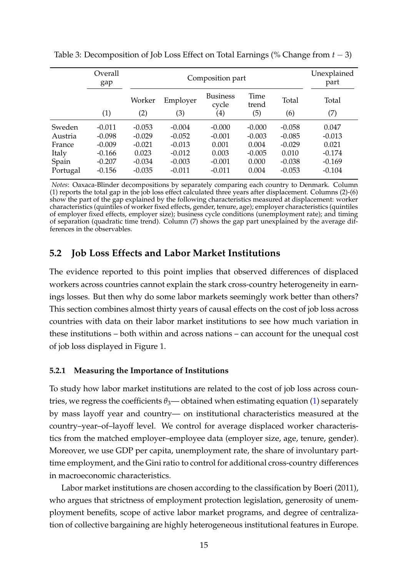|          | Overall<br>gap |          | Composition part |                          |               |          |          |  |  |  |  |
|----------|----------------|----------|------------------|--------------------------|---------------|----------|----------|--|--|--|--|
|          |                | Worker   | Employer         | <b>Business</b><br>cycle | Time<br>trend | Total    | Total    |  |  |  |  |
|          | (1)            | (2)      | (3)              | $\left( 4\right)$        | (5)           | (6)      | (7)      |  |  |  |  |
| Sweden   | $-0.011$       | $-0.053$ | $-0.004$         | $-0.000$                 | $-0.000$      | $-0.058$ | 0.047    |  |  |  |  |
| Austria  | $-0.098$       | $-0.029$ | $-0.052$         | $-0.001$                 | $-0.003$      | $-0.085$ | $-0.013$ |  |  |  |  |
| France   | $-0.009$       | $-0.021$ | $-0.013$         | 0.001                    | 0.004         | $-0.029$ | 0.021    |  |  |  |  |
| Italy    | $-0.166$       | 0.023    | $-0.012$         | 0.003                    | $-0.005$      | 0.010    | $-0.174$ |  |  |  |  |
| Spain    | $-0.207$       | $-0.034$ | $-0.003$         | $-0.001$                 | 0.000         | $-0.038$ | $-0.169$ |  |  |  |  |
| Portugal | $-0.156$       | $-0.035$ | $-0.011$         | $-0.011$                 | 0.004         | $-0.053$ | $-0.104$ |  |  |  |  |

<span id="page-16-0"></span>Table 3: Decomposition of Job Loss Effect on Total Earnings (% Change from *t* − 3)

*Notes*: Oaxaca-Blinder decompositions by separately comparing each country to Denmark. Column (1) reports the total gap in the job loss effect calculated three years after displacement. Columns (2)-(6) show the part of the gap explained by the following characteristics measured at displacement: worker characteristics (quintiles of worker fixed effects, gender, tenure, age); employer characteristics (quintiles of employer fixed effects, employer size); business cycle conditions (unemployment rate); and timing of separation (quadratic time trend). Column (7) shows the gap part unexplained by the average differences in the observables.

## **5.2 Job Loss Effects and Labor Market Institutions**

The evidence reported to this point implies that observed differences of displaced workers across countries cannot explain the stark cross-country heterogeneity in earnings losses. But then why do some labor markets seemingly work better than others? This section combines almost thirty years of causal effects on the cost of job loss across countries with data on their labor market institutions to see how much variation in these institutions – both within and across nations – can account for the unequal cost of job loss displayed in Figure 1.

#### **5.2.1 Measuring the Importance of Institutions**

To study how labor market institutions are related to the cost of job loss across countries, we regress the coefficients  $\theta_3$ — obtained when estimating equation [\(1\)](#page-8-1) separately by mass layoff year and country— on institutional characteristics measured at the country–year–of–layoff level. We control for average displaced worker characteristics from the matched employer–employee data (employer size, age, tenure, gender). Moreover, we use GDP per capita, unemployment rate, the share of involuntary parttime employment, and the Gini ratio to control for additional cross-country differences in macroeconomic characteristics.

Labor market institutions are chosen according to the classification by [Boeri](#page-20-16) [\(2011\)](#page-20-16), who argues that strictness of employment protection legislation, generosity of unemployment benefits, scope of active labor market programs, and degree of centralization of collective bargaining are highly heterogeneous institutional features in Europe.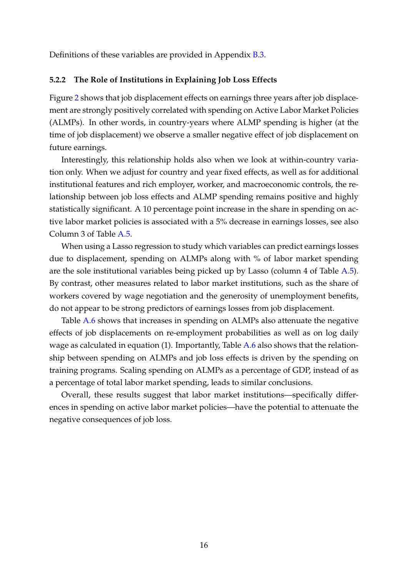Definitions of these variables are provided in Appendix [B.3.](#page-37-0)

#### **5.2.2 The Role of Institutions in Explaining Job Loss Effects**

Figure [2](#page-18-1) shows that job displacement effects on earnings three years after job displacement are strongly positively correlated with spending on Active Labor Market Policies (ALMPs). In other words, in country-years where ALMP spending is higher (at the time of job displacement) we observe a smaller negative effect of job displacement on future earnings.

Interestingly, this relationship holds also when we look at within-country variation only. When we adjust for country and year fixed effects, as well as for additional institutional features and rich employer, worker, and macroeconomic controls, the relationship between job loss effects and ALMP spending remains positive and highly statistically significant. A 10 percentage point increase in the share in spending on active labor market policies is associated with a 5% decrease in earnings losses, see also Column 3 of Table [A.5.](#page-27-0)

When using a Lasso regression to study which variables can predict earnings losses due to displacement, spending on ALMPs along with % of labor market spending are the sole institutional variables being picked up by Lasso (column 4 of Table [A.5\)](#page-27-0). By contrast, other measures related to labor market institutions, such as the share of workers covered by wage negotiation and the generosity of unemployment benefits, do not appear to be strong predictors of earnings losses from job displacement.

Table [A.6](#page-28-0) shows that increases in spending on ALMPs also attenuate the negative effects of job displacements on re-employment probabilities as well as on log daily wage as calculated in equation (1). Importantly, Table [A.6](#page-28-0) also shows that the relationship between spending on ALMPs and job loss effects is driven by the spending on training programs. Scaling spending on ALMPs as a percentage of GDP, instead of as a percentage of total labor market spending, leads to similar conclusions.

Overall, these results suggest that labor market institutions—specifically differences in spending on active labor market policies—have the potential to attenuate the negative consequences of job loss.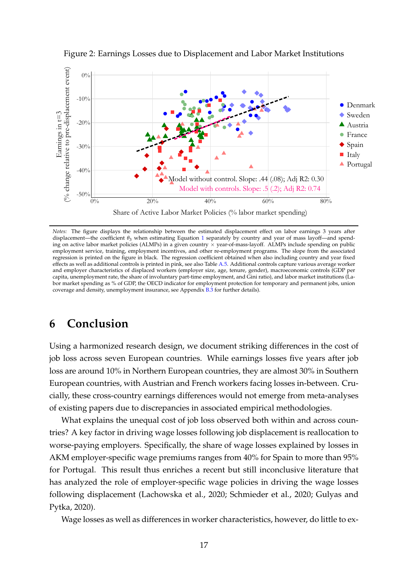

<span id="page-18-1"></span>Figure 2: Earnings Losses due to Displacement and Labor Market Institutions

*Notes:* The figure displays the relationship between the estimated displacement effect on labor earnings 3 years after displacement—the coefficient θ<sub>3</sub> when estimating Equation [1](#page-8-1) separately by country and year of mass layoff—and spending on active labor market policies (ALMPs) in a given country × year-of-mass-layoff. ALMPs include spending on public employment service, training, employment incentives, and other re-employment programs. The slope from the associated regression is printed on the figure in black. The regression coefficient obtained when also including country and year fixed effects as well as additional controls is printed in pink, see also Table [A.5.](#page-27-0) Additional controls capture various average worker and employer characteristics of displaced workers (employer size, age, tenure, gender), macroeconomic controls (GDP per capita, unemployment rate, the share of involuntary part-time employment, and Gini ratio), and labor market institutions (Labor market spending as % of GDP, the OECD indicator for employment protection for temporary and permanent jobs, union coverage and density, unemployment insurance, see Appendix [B.3](#page-37-0) for further details).

## <span id="page-18-0"></span>**6 Conclusion**

Using a harmonized research design, we document striking differences in the cost of job loss across seven European countries. While earnings losses five years after job loss are around 10% in Northern European countries, they are almost 30% in Southern European countries, with Austrian and French workers facing losses in-between. Crucially, these cross-country earnings differences would not emerge from meta-analyses of existing papers due to discrepancies in associated empirical methodologies.

What explains the unequal cost of job loss observed both within and across countries? A key factor in driving wage losses following job displacement is reallocation to worse-paying employers. Specifically, the share of wage losses explained by losses in AKM employer-specific wage premiums ranges from 40% for Spain to more than 95% for Portugal. This result thus enriches a recent but still inconclusive literature that has analyzed the role of employer-specific wage policies in driving the wage losses following displacement [\(Lachowska et al., 2020;](#page-21-1) [Schmieder et al., 2020;](#page-21-2) [Gulyas and](#page-20-0) [Pytka, 2020\)](#page-20-0).

Wage losses as well as differences in worker characteristics, however, do little to ex-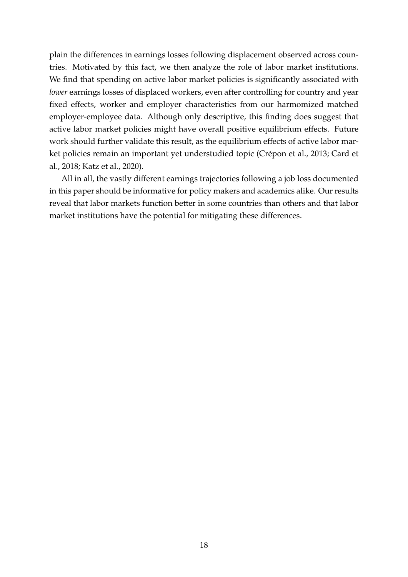plain the differences in earnings losses following displacement observed across countries. Motivated by this fact, we then analyze the role of labor market institutions. We find that spending on active labor market policies is significantly associated with *lower* earnings losses of displaced workers, even after controlling for country and year fixed effects, worker and employer characteristics from our harmomized matched employer-employee data. Although only descriptive, this finding does suggest that active labor market policies might have overall positive equilibrium effects. Future work should further validate this result, as the equilibrium effects of active labor market policies remain an important yet understudied topic [\(Crépon et al., 2013;](#page-20-17) [Card et](#page-20-18) [al., 2018;](#page-20-18) [Katz et al., 2020\)](#page-21-15).

All in all, the vastly different earnings trajectories following a job loss documented in this paper should be informative for policy makers and academics alike. Our results reveal that labor markets function better in some countries than others and that labor market institutions have the potential for mitigating these differences.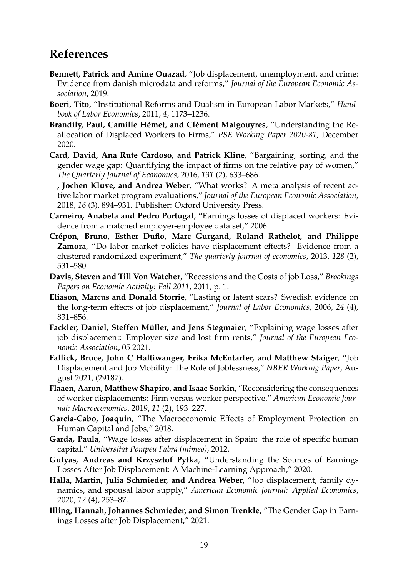## <span id="page-20-12"></span><span id="page-20-11"></span><span id="page-20-10"></span><span id="page-20-9"></span><span id="page-20-8"></span><span id="page-20-7"></span><span id="page-20-6"></span><span id="page-20-5"></span><span id="page-20-4"></span>**References**

- <span id="page-20-1"></span>**Bennett, Patrick and Amine Ouazad**, "Job displacement, unemployment, and crime: Evidence from danish microdata and reforms," *Journal of the European Economic Association*, 2019.
- <span id="page-20-16"></span>**Boeri, Tito**, "Institutional Reforms and Dualism in European Labor Markets," *Handbook of Labor Economics*, 2011, *4*, 1173–1236.
- <span id="page-20-19"></span>**Brandily, Paul, Camille Hémet, and Clément Malgouyres**, "Understanding the Reallocation of Displaced Workers to Firms," *PSE Working Paper 2020-81*, December 2020.
- <span id="page-20-15"></span>**Card, David, Ana Rute Cardoso, and Patrick Kline**, "Bargaining, sorting, and the gender wage gap: Quantifying the impact of firms on the relative pay of women," *The Quarterly Journal of Economics*, 2016, *131* (2), 633–686.
- <span id="page-20-18"></span>**, Jochen Kluve, and Andrea Weber**, "What works? A meta analysis of recent active labor market program evaluations," *Journal of the European Economic Association*, 2018, *16* (3), 894–931. Publisher: Oxford University Press.
- **Carneiro, Anabela and Pedro Portugal**, "Earnings losses of displaced workers: Evidence from a matched employer-employee data set," 2006.
- <span id="page-20-17"></span>**Crépon, Bruno, Esther Duflo, Marc Gurgand, Roland Rathelot, and Philippe Zamora**, "Do labor market policies have displacement effects? Evidence from a clustered randomized experiment," *The quarterly journal of economics*, 2013, *128* (2), 531–580.
- <span id="page-20-2"></span>**Davis, Steven and Till Von Watcher**, "Recessions and the Costs of job Loss," *Brookings Papers on Economic Activity: Fall 2011*, 2011, p. 1.
- <span id="page-20-21"></span>**Eliason, Marcus and Donald Storrie**, "Lasting or latent scars? Swedish evidence on the long-term effects of job displacement," *Journal of Labor Economics*, 2006, *24* (4), 831–856.
- <span id="page-20-22"></span>**Fackler, Daniel, Steffen Müller, and Jens Stegmaier**, "Explaining wage losses after job displacement: Employer size and lost firm rents," *Journal of the European Economic Association*, 05 2021.
- <span id="page-20-13"></span>**Fallick, Bruce, John C Haltiwanger, Erika McEntarfer, and Matthew Staiger**, "Job Displacement and Job Mobility: The Role of Joblessness," *NBER Working Paper*, August 2021, (29187).
- <span id="page-20-3"></span>**Flaaen, Aaron, Matthew Shapiro, and Isaac Sorkin**, "Reconsidering the consequences of worker displacements: Firm versus worker perspective," *American Economic Journal: Macroeconomics*, 2019, *11* (2), 193–227.
- <span id="page-20-20"></span>**Garcia-Cabo, Joaquin**, "The Macroeconomic Effects of Employment Protection on Human Capital and Jobs," 2018.
- **Garda, Paula**, "Wage losses after displacement in Spain: the role of specific human capital," *Universitat Pompeu Fabra (mimeo)*, 2012.
- <span id="page-20-0"></span>**Gulyas, Andreas and Krzysztof Pytka**, "Understanding the Sources of Earnings Losses After Job Displacement: A Machine-Learning Approach," 2020.
- **Halla, Martin, Julia Schmieder, and Andrea Weber**, "Job displacement, family dynamics, and spousal labor supply," *American Economic Journal: Applied Economics*, 2020, *12* (4), 253–87.
- <span id="page-20-14"></span>**Illing, Hannah, Johannes Schmieder, and Simon Trenkle**, "The Gender Gap in Earnings Losses after Job Displacement," 2021.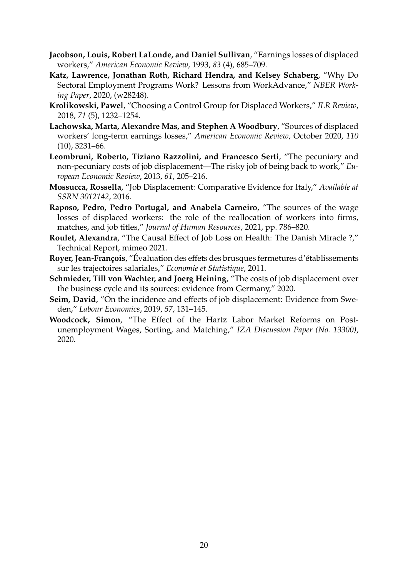- <span id="page-21-12"></span><span id="page-21-11"></span><span id="page-21-10"></span><span id="page-21-9"></span><span id="page-21-8"></span><span id="page-21-7"></span><span id="page-21-6"></span><span id="page-21-5"></span><span id="page-21-4"></span><span id="page-21-0"></span>**Jacobson, Louis, Robert LaLonde, and Daniel Sullivan**, "Earnings losses of displaced workers," *American Economic Review*, 1993, *83* (4), 685–709.
- <span id="page-21-15"></span>**Katz, Lawrence, Jonathan Roth, Richard Hendra, and Kelsey Schaberg**, "Why Do Sectoral Employment Programs Work? Lessons from WorkAdvance," *NBER Working Paper*, 2020, (w28248).
- <span id="page-21-13"></span>**Krolikowski, Pawel**, "Choosing a Control Group for Displaced Workers," *ILR Review*, 2018, *71* (5), 1232–1254.
- <span id="page-21-1"></span>**Lachowska, Marta, Alexandre Mas, and Stephen A Woodbury**, "Sources of displaced workers' long-term earnings losses," *American Economic Review*, October 2020, *110* (10), 3231–66.
- <span id="page-21-3"></span>**Leombruni, Roberto, Tiziano Razzolini, and Francesco Serti**, "The pecuniary and non-pecuniary costs of job displacement—The risky job of being back to work," *European Economic Review*, 2013, *61*, 205–216.
- <span id="page-21-18"></span>**Mossucca, Rossella**, "Job Displacement: Comparative Evidence for Italy," *Available at SSRN 3012142*, 2016.
- <span id="page-21-19"></span>**Raposo, Pedro, Pedro Portugal, and Anabela Carneiro**, "The sources of the wage losses of displaced workers: the role of the reallocation of workers into firms, matches, and job titles," *Journal of Human Resources*, 2021, pp. 786–820.
- <span id="page-21-16"></span>**Roulet, Alexandra**, "The Causal Effect of Job Loss on Health: The Danish Miracle ?," Technical Report, mimeo 2021.
- <span id="page-21-17"></span>**Royer, Jean-François**, "Évaluation des effets des brusques fermetures d'établissements sur les trajectoires salariales," *Economie et Statistique*, 2011.
- <span id="page-21-2"></span>**Schmieder, Till von Wachter, and Joerg Heining**, "The costs of job displacement over the business cycle and its sources: evidence from Germany," 2020.
- <span id="page-21-20"></span>**Seim, David**, "On the incidence and effects of job displacement: Evidence from Sweden," *Labour Economics*, 2019, *57*, 131–145.
- <span id="page-21-14"></span>**Woodcock, Simon**, "The Effect of the Hartz Labor Market Reforms on Postunemployment Wages, Sorting, and Matching," *IZA Discussion Paper (No. 13300)*, 2020.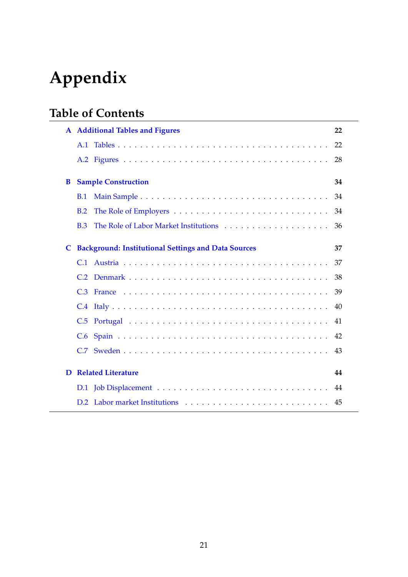# **Appendix**

# **Table of Contents**

|   | <b>A</b> Additional Tables and Figures                                                           | 22 |
|---|--------------------------------------------------------------------------------------------------|----|
|   | A.1                                                                                              | 22 |
|   |                                                                                                  | 28 |
| B | <b>Sample Construction</b>                                                                       | 34 |
|   | <b>B.1</b>                                                                                       | 34 |
|   | B.2<br>The Role of Employers $\dots \dots \dots \dots \dots \dots \dots \dots \dots \dots \dots$ | 34 |
|   | <b>B.3</b>                                                                                       | 36 |
| C | <b>Background: Institutional Settings and Data Sources</b>                                       | 37 |
|   | C.1                                                                                              | 37 |
|   | C.2                                                                                              | 38 |
|   | C.3                                                                                              | 39 |
|   |                                                                                                  | 40 |
|   | C.5                                                                                              | 41 |
|   | C.6                                                                                              |    |
|   | C.7                                                                                              | 43 |
| D | <b>Related Literature</b>                                                                        | 44 |
|   | D.1                                                                                              |    |
|   |                                                                                                  | 45 |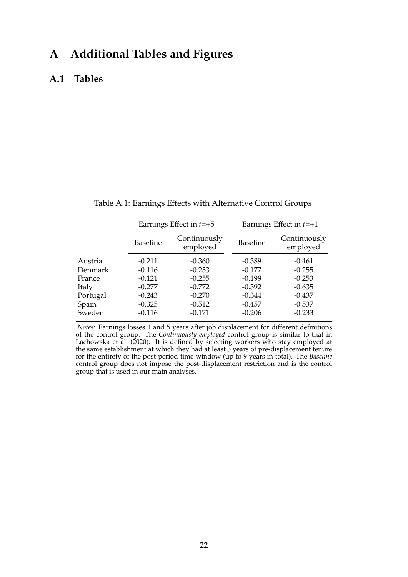## <span id="page-23-1"></span>**A Additional Tables and Figures**

#### <span id="page-23-2"></span>**A.1 Tables**

<span id="page-23-0"></span>

|          |                                             | Earnings Effect in $t=+5$ | Earnings Effect in $t=+1$ |                          |  |  |  |
|----------|---------------------------------------------|---------------------------|---------------------------|--------------------------|--|--|--|
|          | Continuously<br><b>Baseline</b><br>employed |                           | <b>Baseline</b>           | Continuously<br>employed |  |  |  |
| Austria  | $-0.211$                                    | $-0.360$                  | $-0.389$                  | $-0.461$                 |  |  |  |
| Denmark  | $-0.116$                                    | $-0.253$                  | $-0.177$                  | $-0.255$                 |  |  |  |
| France   | $-0.121$                                    | $-0.255$                  | $-0.199$                  | $-0.253$                 |  |  |  |
| Italy    | $-0.277$                                    | $-0.772$                  | $-0.392$                  | $-0.635$                 |  |  |  |
| Portugal | $-0.243$                                    | $-0.270$                  | $-0.344$                  | $-0.437$                 |  |  |  |
| Spain    | $-0.325$                                    | $-0.512$                  | $-0.457$                  | $-0.537$                 |  |  |  |
| Sweden   | $-0.116$                                    | $-0.171$                  | $-0.206$                  | $-0.233$                 |  |  |  |

Table A.1: Earnings Effects with Alternative Control Groups

*Notes*: Earnings losses 1 and 5 years after job displacement for different definitions of the control group. The *Continuously employed* control group is similar to that in [Lachowska et al.](#page-21-1) [\(2020\)](#page-21-1). It is defined by selecting workers who stay employed at the same establishment at which they had at least 3 years of pre-displacement tenure for the entirety of the post-period time window (up to 9 years in total). The *Baseline* control group does not impose the post-displacement restriction and is the control group that is used in our main analyses.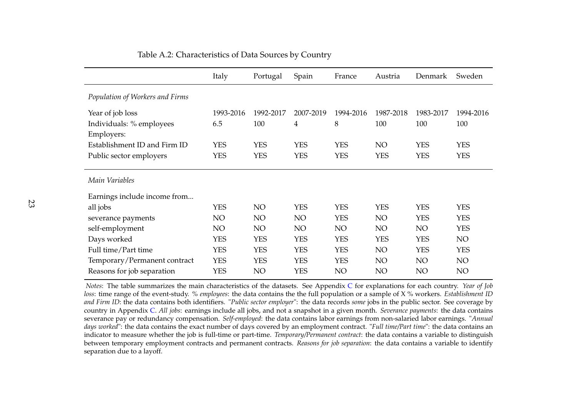|                                 | Italy      | Portugal        | Spain      | France     | Austria    | Denmark    | Sweden     |
|---------------------------------|------------|-----------------|------------|------------|------------|------------|------------|
| Population of Workers and Firms |            |                 |            |            |            |            |            |
| Year of job loss                | 1993-2016  | 1992-2017       | 2007-2019  | 1994-2016  | 1987-2018  | 1983-2017  | 1994-2016  |
| Individuals: % employees        | 6.5        | 100             | 4          | 8          | 100        | 100        | 100        |
| Employers:                      |            |                 |            |            |            |            |            |
| Establishment ID and Firm ID    | <b>YES</b> | <b>YES</b>      | <b>YES</b> | <b>YES</b> | NO         | <b>YES</b> | <b>YES</b> |
| Public sector employers         | <b>YES</b> | <b>YES</b>      | <b>YES</b> | <b>YES</b> | <b>YES</b> | <b>YES</b> | <b>YES</b> |
|                                 |            |                 |            |            |            |            |            |
| Main Variables                  |            |                 |            |            |            |            |            |
| Earnings include income from    |            |                 |            |            |            |            |            |
| all jobs                        | <b>YES</b> | NO <sub>1</sub> | <b>YES</b> | <b>YES</b> | <b>YES</b> | <b>YES</b> | <b>YES</b> |
| severance payments              | NO         | NO <sub>1</sub> | NO.        | <b>YES</b> | NO         | <b>YES</b> | <b>YES</b> |
| self-employment                 | NO         | NO <sub>1</sub> | NO.        | NO.        | NO         | NO         | <b>YES</b> |
| Days worked                     | <b>YES</b> | <b>YES</b>      | <b>YES</b> | <b>YES</b> | <b>YES</b> | <b>YES</b> | NO         |
| Full time/Part time             | <b>YES</b> | <b>YES</b>      | <b>YES</b> | <b>YES</b> | NO         | <b>YES</b> | <b>YES</b> |
| Temporary/Permanent contract    | <b>YES</b> | <b>YES</b>      | <b>YES</b> | <b>YES</b> | NO         | NO         | NO         |
| Reasons for job separation      | <b>YES</b> | NO              | <b>YES</b> | NO         | NO         | NO         | NO         |

#### Table A.2: Characteristics of Data Sources by Country

<span id="page-24-0"></span>*Notes*: The table summarizes the main characteristics of the datasets. See Appendix [C](#page-38-2) for explanations for each country. *Year of Job loss*: time range of the event-study. *% employees*: the data contains the the full population or a sample of X % workers. *Establishment ID and Firm ID*: the data contains both identifiers. "*Public sector employer*": the data records *some* jobs in the public sector. See coverage by country in Appendix [C.](#page-38-2) *All jobs*: earnings include all jobs, and not <sup>a</sup> snapshot in <sup>a</sup> <sup>g</sup>iven month. *Severance payments*: the data contains severance pay or redundancy compensation. *Self-employed*: the data contains labor earnings from non-salaried labor earnings. "*Annual days worked*": the data contains the exact number of days covered by an employment contract. "*Full time/Part time*": the data contains an indicator to measure whether the job is full-time or part-time. *Temporary/Permanent contract*: the data contains <sup>a</sup> variable to distinguish between temporary employment contracts and permanen<sup>t</sup> contracts. *Reasons for job separation*: the data contains <sup>a</sup> variable to identifyseparation due to <sup>a</sup> layoff.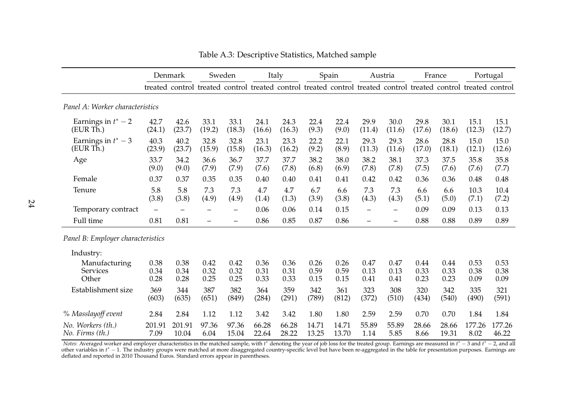|                                           |                      | Denmark              |                      | Sweden               |                      | Italy                |                      | Spain                |                          | Austria                                                                                                         |                      | France               | Portugal             |                      |
|-------------------------------------------|----------------------|----------------------|----------------------|----------------------|----------------------|----------------------|----------------------|----------------------|--------------------------|-----------------------------------------------------------------------------------------------------------------|----------------------|----------------------|----------------------|----------------------|
|                                           |                      |                      |                      |                      |                      |                      |                      |                      |                          | treated control treated control treated control treated control treated control treated control treated control |                      |                      |                      |                      |
| Panel A: Worker characteristics           |                      |                      |                      |                      |                      |                      |                      |                      |                          |                                                                                                                 |                      |                      |                      |                      |
| Earnings in $t^*-2$<br>(EUR Th.)          | 42.7<br>(24.1)       | 42.6<br>(23.7)       | 33.1<br>(19.2)       | 33.1<br>(18.3)       | 24.1<br>(16.6)       | 24.3<br>(16.3)       | 22.4<br>(9.3)        | 22.4<br>(9.0)        | 29.9<br>(11.4)           | 30.0<br>(11.6)                                                                                                  | 29.8<br>(17.6)       | 30.1<br>(18.6)       | 15.1<br>(12.3)       | 15.1<br>(12.7)       |
| Earnings in $t^*$ – 3<br>(EUR Th.)        | 40.3<br>(23.9)       | 40.2<br>(23.7)       | 32.8<br>(15.9)       | 32.8<br>(15.8)       | 23.1<br>(16.3)       | 23.3<br>(16.2)       | 22.2<br>(9.2)        | 22.1<br>(8.9)        | 29.3<br>(11.3)           | 29.3<br>(11.6)                                                                                                  | 28.6<br>(17.0)       | 28.8<br>(18.1)       | 15.0<br>(12.1)       | 15.0<br>(12.6)       |
| Age                                       | 33.7<br>(9.0)        | 34.2<br>(9.0)        | 36.6<br>(7.9)        | 36.7<br>(7.9)        | 37.7<br>(7.6)        | 37.7<br>(7.8)        | 38.2<br>(6.8)        | 38.0<br>(6.9)        | 38.2<br>(7.8)            | 38.1<br>(7.8)                                                                                                   | 37.3<br>(7.5)        | 37.5<br>(7.6)        | 35.8<br>(7.6)        | 35.8<br>(7.7)        |
| Female                                    | 0.37                 | 0.37                 | 0.35                 | 0.35                 | 0.40                 | 0.40                 | 0.41                 | 0.41                 | 0.42                     | 0.42                                                                                                            | 0.36                 | 0.36                 | 0.48                 | 0.48                 |
| Tenure                                    | 5.8<br>(3.8)         | 5.8<br>(3.8)         | 7.3<br>(4.9)         | 7.3<br>(4.9)         | 4.7<br>(1.4)         | 4.7<br>(1.3)         | 6.7<br>(3.9)         | 6.6<br>(3.8)         | 7.3<br>(4.3)             | 7.3<br>(4.3)                                                                                                    | 6.6<br>(5.1)         | 6.6<br>(5.0)         | 10.3<br>(7.1)        | 10.4<br>(7.2)        |
| Temporary contract                        | $\equiv$             |                      | -                    | $\qquad \qquad -$    | 0.06                 | 0.06                 | 0.14                 | 0.15                 | $\overline{\phantom{0}}$ |                                                                                                                 | 0.09                 | 0.09                 | 0.13                 | 0.13                 |
| Full time                                 | 0.81                 | 0.81                 | $\qquad \qquad -$    | $\qquad \qquad -$    | 0.86                 | 0.85                 | 0.87                 | 0.86                 | $\qquad \qquad -$        | $\overline{\phantom{0}}$                                                                                        | 0.88                 | 0.88                 | 0.89                 | 0.89                 |
| Panel B: Employer characteristics         |                      |                      |                      |                      |                      |                      |                      |                      |                          |                                                                                                                 |                      |                      |                      |                      |
| Industry:                                 |                      |                      |                      |                      |                      |                      |                      |                      |                          |                                                                                                                 |                      |                      |                      |                      |
| Manufacturing<br><b>Services</b><br>Other | 0.38<br>0.34<br>0.28 | 0.38<br>0.34<br>0.28 | 0.42<br>0.32<br>0.25 | 0.42<br>0.32<br>0.25 | 0.36<br>0.31<br>0.33 | 0.36<br>0.31<br>0.33 | 0.26<br>0.59<br>0.15 | 0.26<br>0.59<br>0.15 | 0.47<br>0.13<br>0.41     | 0.47<br>0.13<br>0.41                                                                                            | 0.44<br>0.33<br>0.23 | 0.44<br>0.33<br>0.23 | 0.53<br>0.38<br>0.09 | 0.53<br>0.38<br>0.09 |
| Establishment size                        | 369<br>(603)         | 344<br>(635)         | 387<br>(651)         | 382<br>(849)         | 364<br>(284)         | 359<br>(291)         | 342<br>(789)         | 361<br>(812)         | 323<br>(372)             | 308<br>(510)                                                                                                    | 320<br>(434)         | 342<br>(540)         | 335<br>(490)         | 321<br>(591)         |
| % Masslayoff event                        | 2.84                 | 2.84                 | 1.12                 | 1.12                 | 3.42                 | 3.42                 | 1.80                 | 1.80                 | 2.59                     | 2.59                                                                                                            | 0.70                 | 0.70                 | 1.84                 | 1.84                 |
| No. Workers (th.)<br>No. Firms (th.)      | 201.91<br>7.09       | 201.91<br>10.04      | 97.36<br>6.04        | 97.36<br>15.04       | 66.28<br>22.64       | 66.28<br>28.22       | 14.71<br>13.25       | 14.71<br>13.70       | 55.89<br>1.14            | 55.89<br>5.85                                                                                                   | 28.66<br>8.66        | 28.66<br>19.31       | 177.26<br>8.02       | 177.26<br>46.22      |

<span id="page-25-0"></span>Table A.3: Descriptive Statistics, Matched sample

*Notes*: Averaged worker and employer characteristics in the matched sample, with *t*<sup>∗</sup> denoting the year of job loss for the treated group. Earnings are measured in *t*<sup>∗</sup> − 3 and *t*<sup>∗</sup> − 2, and all<br>the president in th other variables in *t*<sup>∗</sup> − 1. The industry groups were matched at more disaggregated country-specific level but have been re-aggregated in the table for presentation purposes. Earnings are<br>defined and argustad in 2010 Th deflated and reported in 2010 Thousand Euros. Standard errors appear in parentheses.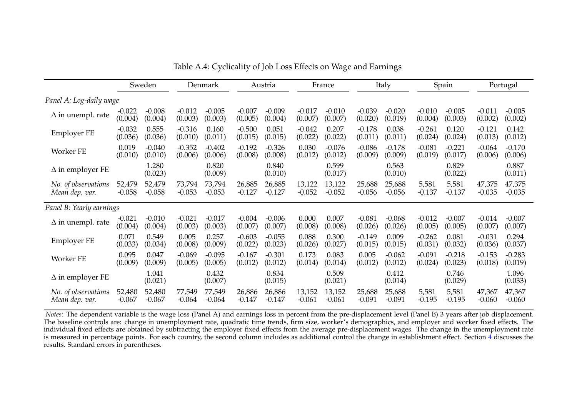|                          |          | Sweden           |          | Denmark          |          | Austria          |          | France           |          | Italy            |          | Spain            |          | Portugal         |
|--------------------------|----------|------------------|----------|------------------|----------|------------------|----------|------------------|----------|------------------|----------|------------------|----------|------------------|
| Panel A: Log-daily wage  |          |                  |          |                  |          |                  |          |                  |          |                  |          |                  |          |                  |
| $\Delta$ in unempl. rate | $-0.022$ | $-0.008$         | $-0.012$ | $-0.005$         | $-0.007$ | $-0.009$         | $-0.017$ | $-0.010$         | $-0.039$ | $-0.020$         | $-0.010$ | $-0.005$         | $-0.011$ | $-0.005$         |
|                          | (0.004)  | (0.004)          | (0.003)  | (0.003)          | (0.005)  | (0.004)          | (0.007)  | (0.007)          | (0.020)  | (0.019)          | (0.004)  | (0.003)          | (0.002)  | (0.002)          |
| <b>Employer FE</b>       | $-0.032$ | 0.555            | $-0.316$ | 0.160            | $-0.500$ | 0.051            | $-0.042$ | 0.207            | $-0.178$ | 0.038            | $-0.261$ | 0.120            | $-0.121$ | 0.142            |
|                          | (0.036)  | (0.036)          | (0.010)  | (0.011)          | (0.015)  | (0.015)          | (0.022)  | (0.022)          | (0.011)  | (0.011)          | (0.024)  | (0.024)          | (0.013)  | (0.012)          |
| Worker FE                | 0.019    | $-0.040$         | $-0.352$ | $-0.402$         | $-0.192$ | $-0.326$         | 0.030    | $-0.076$         | $-0.086$ | $-0.178$         | $-0.081$ | $-0.221$         | $-0.064$ | $-0.170$         |
|                          | (0.010)  | (0.010)          | (0.006)  | (0.006)          | (0.008)  | (0.008)          | (0.012)  | (0.012)          | (0.009)  | (0.009)          | (0.019)  | (0.017)          | (0.006)  | (0.006)          |
| $\Delta$ in employer FE  |          | 1.280<br>(0.023) |          | 0.820<br>(0.009) |          | 0.840<br>(0.010) |          | 0.599<br>(0.017) |          | 0.563<br>(0.010) |          | 0.829<br>(0.022) |          | 0.887<br>(0.011) |
| No. of observations      | 52,479   | 52,479           | 73,794   | 73,794           | 26,885   | 26,885           | 13,122   | 13,122           | 25,688   | 25,688           | 5,581    | 5,581            | 47,375   | 47,375           |
| Mean dep. var.           | $-0.058$ | $-0.058$         | $-0.053$ | $-0.053$         | $-0.127$ | $-0.127$         | $-0.052$ | $-0.052$         | $-0.056$ | $-0.056$         | $-0.137$ | $-0.137$         | $-0.035$ | $-0.035$         |
| Panel B: Yearly earnings |          |                  |          |                  |          |                  |          |                  |          |                  |          |                  |          |                  |
| $\Delta$ in unempl. rate | $-0.021$ | $-0.010$         | $-0.021$ | $-0.017$         | $-0.004$ | $-0.006$         | 0.000    | 0.007            | $-0.081$ | $-0.068$         | $-0.012$ | $-0.007$         | $-0.014$ | $-0.007$         |
|                          | (0.004)  | (0.004)          | (0.003)  | (0.003)          | (0.007)  | (0.007)          | (0.008)  | (0.008)          | (0.026)  | (0.026)          | (0.005)  | (0.005)          | (0.007)  | (0.007)          |
| <b>Employer FE</b>       | 0.071    | 0.549            | 0.005    | 0.257            | $-0.603$ | $-0.055$         | 0.088    | 0.300            | $-0.149$ | 0.009            | $-0.262$ | 0.081            | $-0.031$ | 0.294            |
|                          | (0.033)  | (0.034)          | (0.008)  | (0.009)          | (0.022)  | (0.023)          | (0.026)  | (0.027)          | (0.015)  | (0.015)          | (0.031)  | (0.032)          | (0.036)  | (0.037)          |
| Worker FE                | 0.095    | 0.047            | $-0.069$ | $-0.095$         | $-0.167$ | $-0.301$         | 0.173    | 0.083            | 0.005    | $-0.062$         | $-0.091$ | $-0.218$         | $-0.153$ | $-0.283$         |
|                          | (0.009)  | (0.009)          | (0.005)  | (0.005)          | (0.012)  | (0.012)          | (0.014)  | (0.014)          | (0.012)  | (0.012)          | (0.024)  | (0.023)          | (0.018)  | (0.019)          |
| $\Delta$ in employer FE  |          | 1.041<br>(0.021) |          | 0.432<br>(0.007) |          | 0.834<br>(0.015) |          | 0.509<br>(0.021) |          | 0.412<br>(0.014) |          | 0.746<br>(0.029) |          | 1.096<br>(0.033) |
| No. of observations      | 52,480   | 52,480           | 77,549   | 77,549           | 26,886   | 26,886           | 13,152   | 13,152           | 25,688   | 25,688           | 5,581    | 5,581            | 47,367   | 47,367           |
| Mean dep. var.           | $-0.067$ | $-0.067$         | $-0.064$ | $-0.064$         | $-0.147$ | $-0.147$         | $-0.061$ | $-0.061$         | $-0.091$ | $-0.091$         | $-0.195$ | $-0.195$         | $-0.060$ | $-0.060$         |

<span id="page-26-0"></span>Table A.4: Cyclicality of Job Loss Effects on Wage and Earnings

*Notes*: The dependent variable is the wage loss (Panel A) and earnings loss in percen<sup>t</sup> from the pre-displacement level (Panel B) 3 years after job displacement. The baseline controls are: change in unemployment rate, quadratic time trends, firm size, worker's demographics, and employer and worker fixed effects. The individual fixed effects are obtained by subtracting the employer fixed effects from the average pre-displacement wages. The change in the unemployment rateis measured in percentage points. For each country, the second column includes as additional control the change in establishment effect. Section [4](#page-11-2) discusses the results. Standard errors in parentheses.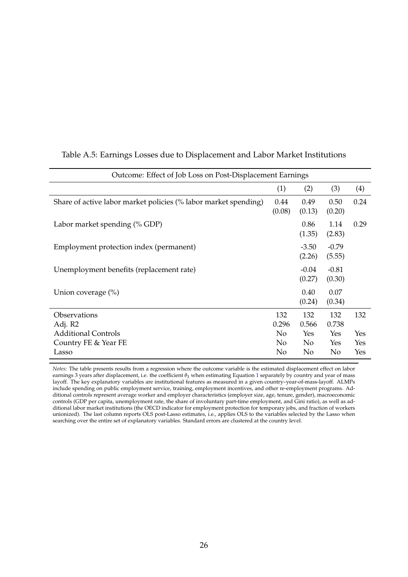| Outcome: Effect of Job Loss on Post-Displacement Earnings       |                |                   |                   |      |  |  |  |  |  |
|-----------------------------------------------------------------|----------------|-------------------|-------------------|------|--|--|--|--|--|
|                                                                 | (1)            | (2)               | (3)               | (4)  |  |  |  |  |  |
| Share of active labor market policies (% labor market spending) | 0.44<br>(0.08) | 0.49<br>(0.13)    | 0.50<br>(0.20)    | 0.24 |  |  |  |  |  |
| Labor market spending (% GDP)                                   |                | 0.86<br>(1.35)    | 1.14<br>(2.83)    | 0.29 |  |  |  |  |  |
| Employment protection index (permanent)                         |                | $-3.50$<br>(2.26) | $-0.79$<br>(5.55) |      |  |  |  |  |  |
| Unemployment benefits (replacement rate)                        |                | $-0.04$<br>(0.27) | $-0.81$<br>(0.30) |      |  |  |  |  |  |
| Union coverage $(\%)$                                           |                | 0.40<br>(0.24)    | 0.07<br>(0.34)    |      |  |  |  |  |  |
| Observations<br>Adj. R2                                         | 132<br>0.296   | 132<br>0.566      | 132<br>0.738      | 132  |  |  |  |  |  |
| <b>Additional Controls</b>                                      | N <sub>0</sub> | Yes               | Yes               | Yes  |  |  |  |  |  |
| Country FE & Year FE                                            | N <sub>0</sub> | No                | Yes               | Yes  |  |  |  |  |  |
| Lasso                                                           | No             | No                | No                | Yes  |  |  |  |  |  |

#### <span id="page-27-1"></span><span id="page-27-0"></span>Table A.5: Earnings Losses due to Displacement and Labor Market Institutions

*Notes:* The table presents results from a regression where the outcome variable is the estimated displacement effect on labor earnings 3 years after displacement, i.e. the coefficient  $θ_3$  when estimating Equation [1](#page-8-1) separately by country and year of mass layoff. The key explanatory variables are institutional features as measured in a given country–year-of-mass-layoff. ALMPs include spending on public employment service, training, employment incentives, and other re-employment programs. Additional controls represent average worker and employer characteristics (employer size, age, tenure, gender), macroeconomic controls (GDP per capita, unemployment rate, the share of involuntary part-time employment, and Gini ratio), as well as additional labor market institutions (the OECD indicator for employment protection for temporary jobs, and fraction of workers unionized). The last column reports OLS post-Lasso estimates, i.e., applies OLS to the variables selected by the Lasso when searching over the entire set of explanatory variables. Standard errors are clustered at the country level.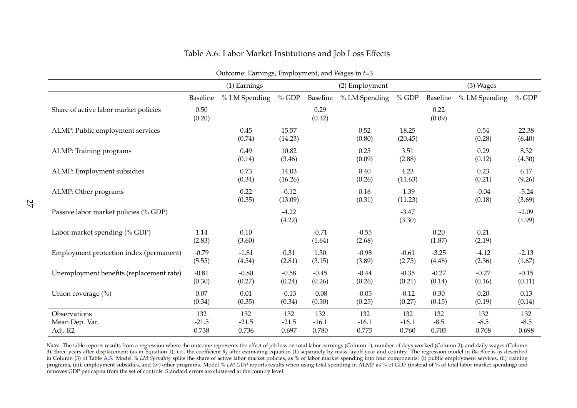| Outcome: Earnings, Employment, and Wages in $t=3$ |                         |                         |                         |                         |                         |                         |                        |                        |                        |
|---------------------------------------------------|-------------------------|-------------------------|-------------------------|-------------------------|-------------------------|-------------------------|------------------------|------------------------|------------------------|
|                                                   |                         | (1) Earnings            |                         |                         | (2) Employment          |                         |                        | (3) Wages              |                        |
|                                                   | Baseline                | % LM Spending           | $%$ GDP                 | Baseline                | % LM Spending           | $%$ GDP                 | Baseline               | % LM Spending          | $%$ GDP                |
| Share of active labor market policies             | 0.50<br>(0.20)          |                         |                         | 0.29<br>(0.12)          |                         |                         | 0.22<br>(0.09)         |                        |                        |
| ALMP: Public employment services                  |                         | 0.45<br>(0.74)          | 15.57<br>(14.23)        |                         | 0.52<br>(0.80)          | 18.25<br>(20.45)        |                        | 0.54<br>(0.28)         | 22.38<br>(6.40)        |
| ALMP: Training programs                           |                         | 0.49<br>(0.14)          | 10.82<br>(3.46)         |                         | 0.25<br>(0.09)          | 3.51<br>(2.88)          |                        | 0.29<br>(0.12)         | 8.32<br>(4.30)         |
| ALMP: Employment subsidies                        |                         | 0.73<br>(0.34)          | 14.03<br>(16.26)        |                         | 0.40<br>(0.26)          | 4.23<br>(11.63)         |                        | 0.23<br>(0.21)         | 6.17<br>(9.26)         |
| ALMP: Other programs                              |                         | 0.22<br>(0.35)          | $-0.12$<br>(13.09)      |                         | 0.16<br>(0.31)          | $-1.39$<br>(11.23)      |                        | $-0.04$<br>(0.18)      | $-5.24$<br>(3.69)      |
| Passive labor market policies (% GDP)             |                         |                         | $-4.22$<br>(4.22)       |                         |                         | $-3.47$<br>(3.30)       |                        |                        | $-2.09$<br>(1.99)      |
| Labor market spending (% GDP)                     | 1.14<br>(2.83)          | 0.10<br>(3.60)          |                         | $-0.71$<br>(1.64)       | $-0.55$<br>(2.68)       |                         | 0.20<br>(1.87)         | 0.21<br>(2.19)         |                        |
| Employment protection index (permanent)           | $-0.79$<br>(5.55)       | $-1.81$<br>(4.54)       | 0.31<br>(2.81)          | 1.30<br>(3.15)          | $-0.98$<br>(3.89)       | $-0.61$<br>(2.75)       | $-3.25$<br>(4.48)      | $-4.12$<br>(2.36)      | $-2.13$<br>(1.67)      |
| Unemployment benefits (replacement rate)          | $-0.81$<br>(0.30)       | $-0.80$<br>(0.27)       | $-0.58$<br>(0.24)       | $-0.45$<br>(0.26)       | $-0.44$<br>(0.26)       | $-0.35$<br>(0.21)       | $-0.27$<br>(0.14)      | $-0.27$<br>(0.16)      | $-0.15$<br>(0.11)      |
| Union coverage (%)                                | 0.07<br>(0.34)          | 0.01<br>(0.35)          | $-0.13$<br>(0.34)       | $-0.08$<br>(0.30)       | $-0.05$<br>(0.25)       | $-0.12$<br>(0.27)       | 0.30<br>(0.15)         | 0.20<br>(0.19)         | 0.13<br>(0.14)         |
| Observations<br>Mean Dep. Var.<br>Adj. R2         | 132<br>$-21.5$<br>0.738 | 132<br>$-21.5$<br>0.736 | 132<br>$-21.5$<br>0.697 | 132<br>$-16.1$<br>0.780 | 132<br>$-16.1$<br>0.775 | 132<br>$-16.1$<br>0.760 | 132<br>$-8.5$<br>0.705 | 132<br>$-8.5$<br>0.708 | 132<br>$-8.5$<br>0.698 |

| Table A.6: Labor Market Institutions and Job Loss Effects |  |  |
|-----------------------------------------------------------|--|--|
|-----------------------------------------------------------|--|--|

<span id="page-28-0"></span>*Notes:* The table reports results from <sup>a</sup> regression where the outcome represents the effect of job loss on total labor earnings (Column 1), number of days worked (Column 2), and daily wages (Column3), three years after displacement (as in Equation [1\)](#page-8-2), i.e., the coefficient *θ*<sub>3</sub> after estimating equation (1) separately by mass-layoff year and country. The regression model in *Baseline* is as described in Column (3) of Table [A.5.](#page-27-1) Model % LM Spending splits the share of active labor market policies, as % of labor market spending into four components: (i) public employment services, (ii) training programs, (iii), employment subsidies, and (iv) other programs. Model % LM GDP reports results when using total spending in ALMP as % of GDP (instead of % of total labor market spending) and removes GDP per capita from the set of controls. Standard errors are clustered at the country level.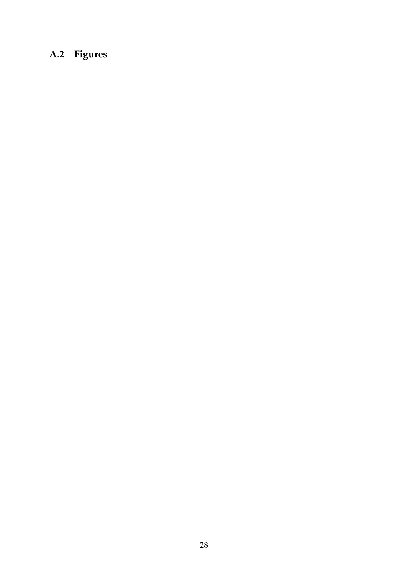# <span id="page-29-0"></span>**A.2 Figures**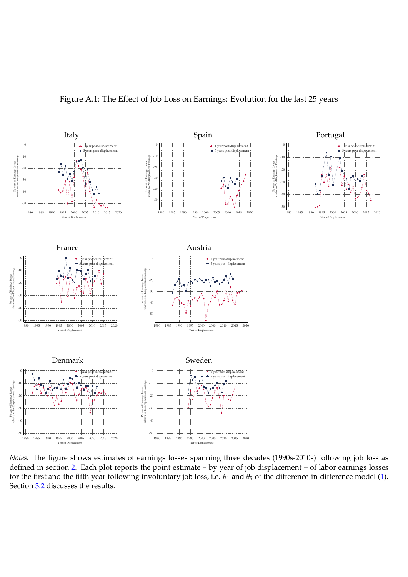<span id="page-30-0"></span>![](_page_30_Figure_0.jpeg)

#### Figure A.1: The Effect of Job Loss on Earnings: Evolution for the last 25 years

*Notes:* The figure shows estimates of earnings losses spanning three decades (1990s-2010s) following job loss as defined in section [2.](#page-4-0) Each plot reports the point estimate – by year of job displacement – of labor earnings losses for the first and the fifth year following involuntary job loss, i.e.  $\theta_1$  and  $\theta_5$  of the difference-in-difference model [\(1\)](#page-8-1). Section [3.2](#page-8-3) discusses the results.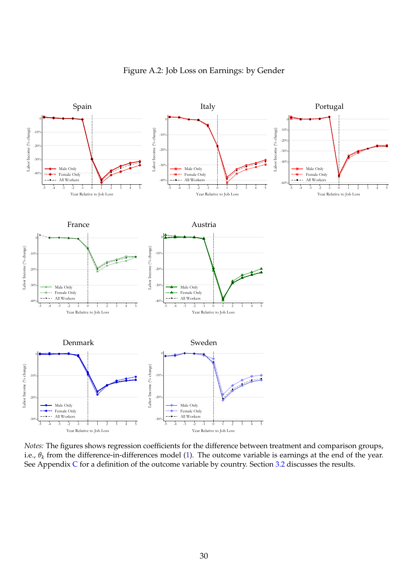<span id="page-31-0"></span>![](_page_31_Figure_0.jpeg)

Figure A.2: Job Loss on Earnings: by Gender

*Notes:* The figures shows regression coefficients for the difference between treatment and comparison groups, i.e., *θ<sup>k</sup>* from the difference-in-differences model [\(1\)](#page-8-1). The outcome variable is earnings at the end of the year. See Appendix  $C$  for a definition of the outcome variable by country. Section [3.2](#page-8-3) discusses the results.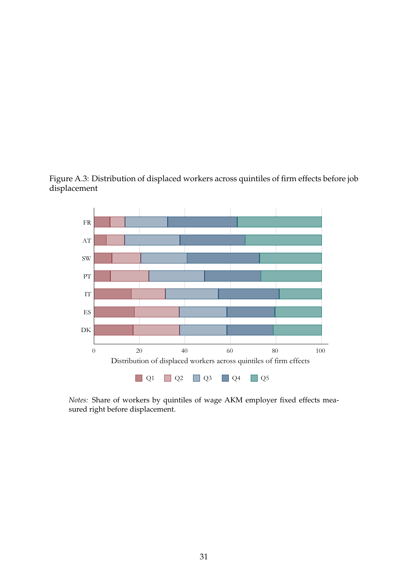<span id="page-32-0"></span>![](_page_32_Figure_0.jpeg)

![](_page_32_Figure_1.jpeg)

*Notes:* Share of workers by quintiles of wage AKM employer fixed effects measured right before displacement.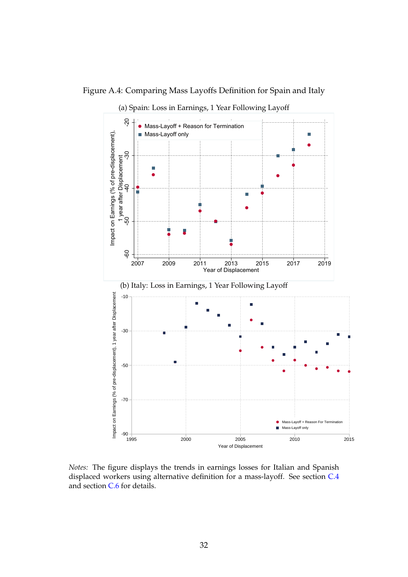<span id="page-33-0"></span>Figure A.4: Comparing Mass Layoffs Definition for Spain and Italy

![](_page_33_Figure_1.jpeg)

*Notes:* The figure displays the trends in earnings losses for Italian and Spanish displaced workers using alternative definition for a mass-layoff. See section [C.4](#page-41-0) and section [C.6](#page-43-0) for details.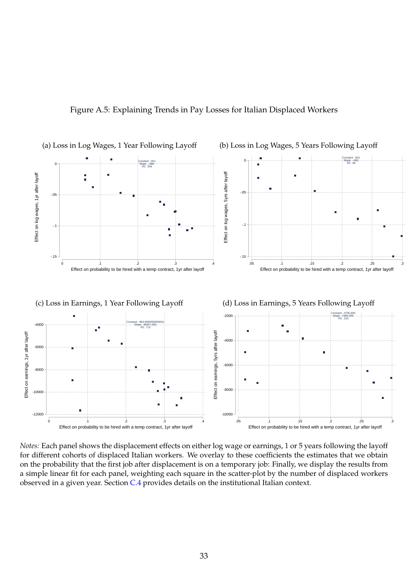![](_page_34_Figure_0.jpeg)

<span id="page-34-0"></span>![](_page_34_Figure_1.jpeg)

*Notes:* Each panel shows the displacement effects on either log wage or earnings, 1 or 5 years following the layoff for different cohorts of displaced Italian workers. We overlay to these coefficients the estimates that we obtain on the probability that the first job after displacement is on a temporary job: Finally, we display the results from a simple linear fit for each panel, weighting each square in the scatter-plot by the number of displaced workers observed in a given year. Section  $C.4$  provides details on the institutional Italian context.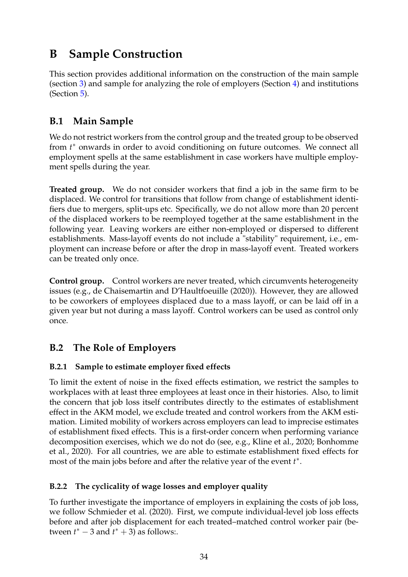## <span id="page-35-0"></span>**B Sample Construction**

This section provides additional information on the construction of the main sample (section [3\)](#page-8-0) and sample for analyzing the role of employers (Section [4\)](#page-11-0) and institutions (Section [5\)](#page-14-0).

## <span id="page-35-2"></span>**B.1 Main Sample**

We do not restrict workers from the control group and the treated group to be observed from  $t^*$  onwards in order to avoid conditioning on future outcomes. We connect all employment spells at the same establishment in case workers have multiple employment spells during the year.

**Treated group.** We do not consider workers that find a job in the same firm to be displaced. We control for transitions that follow from change of establishment identifiers due to mergers, split-ups etc. Specifically, we do not allow more than 20 percent of the displaced workers to be reemployed together at the same establishment in the following year. Leaving workers are either non-employed or dispersed to different establishments. Mass-layoff events do not include a "stability" requirement, i.e., employment can increase before or after the drop in mass-layoff event. Treated workers can be treated only once.

**Control group.** Control workers are never treated, which circumvents heterogeneity issues (e.g., [de Chaisemartin and D'Haultfoeuille](#page-48-0) [\(2020\)](#page-48-0)). However, they are allowed to be coworkers of employees displaced due to a mass layoff, or can be laid off in a given year but not during a mass layoff. Control workers can be used as control only once.

## <span id="page-35-3"></span>**B.2 The Role of Employers**

## **B.2.1 Sample to estimate employer fixed effects**

To limit the extent of noise in the fixed effects estimation, we restrict the samples to workplaces with at least three employees at least once in their histories. Also, to limit the concern that job loss itself contributes directly to the estimates of establishment effect in the AKM model, we exclude treated and control workers from the AKM estimation. Limited mobility of workers across employers can lead to imprecise estimates of establishment fixed effects. This is a first-order concern when performing variance decomposition exercises, which we do not do (see, e.g., [Kline et al., 2020;](#page-49-0) [Bonhomme](#page-48-1) [et al., 2020\)](#page-48-1). For all countries, we are able to estimate establishment fixed effects for most of the main jobs before and after the relative year of the event  $t^*$ .

## <span id="page-35-1"></span>**B.2.2 The cyclicality of wage losses and employer quality**

To further investigate the importance of employers in explaining the costs of job loss, we follow [Schmieder et al.](#page-21-2) [\(2020\)](#page-21-2). First, we compute individual-level job loss effects before and after job displacement for each treated–matched control worker pair (between  $t^* - 3$  and  $t^* + 3$  as follows:.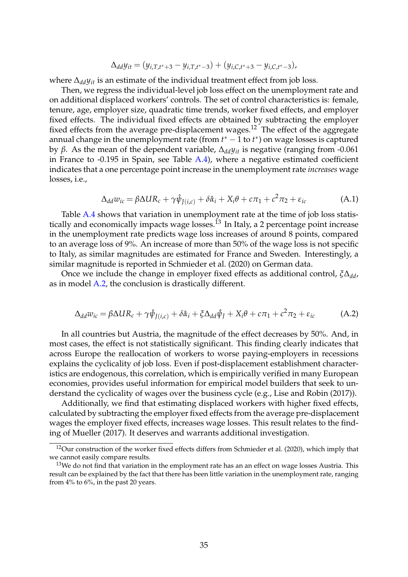$$
\Delta_{dd}y_{it}=(y_{i,T,t^*+3}-y_{i,T,t^*-3})+(y_{i,C,t^*+3}-y_{i,C,t^*-3}),
$$

where ∆*ddyit* is an estimate of the individual treatment effect from job loss.

Then, we regress the individual-level job loss effect on the unemployment rate and on additional displaced workers' controls. The set of control characteristics is: female, tenure, age, employer size, quadratic time trends, worker fixed effects, and employer fixed effects. The individual fixed effects are obtained by subtracting the employer fixed effects from the average pre-displacement wages.<sup>12</sup> The effect of the aggregate annual change in the unemployment rate (from  $t^* - 1$  to  $t^*$ ) on wage losses is captured by *β*. As the mean of the dependent variable, ∆*ddyit* is negative (ranging from -0.061 in France to -0.195 in Spain, see Table [A.4\)](#page-26-0), where a negative estimated coefficient indicates that a one percentage point increase in the unemployment rate *increases* wage losses, i.e.,

$$
\Delta_{dd} w_{ic} = \beta \Delta U R_c + \gamma \hat{\psi}_{J(i,c)} + \delta \hat{\alpha}_i + X_i \theta + c \pi_1 + c^2 \pi_2 + \varepsilon_{ic}
$$
 (A.1)

Table [A.4](#page-26-0) shows that variation in unemployment rate at the time of job loss statistically and economically impacts wage losses.<sup>13</sup> In Italy, a 2 percentage point increase in the unemployment rate predicts wage loss increases of around 8 points, compared to an average loss of 9%. An increase of more than 50% of the wage loss is not specific to Italy, as similar magnitudes are estimated for France and Sweden. Interestingly, a similar magnitude is reported in [Schmieder et al.](#page-21-2) [\(2020\)](#page-21-2) on German data.

Once we include the change in employer fixed effects as additional control, *ξ*∆*dd*, as in model [A.2,](#page-36-0) the conclusion is drastically different.

<span id="page-36-0"></span>
$$
\Delta_{dd} w_{ic} = \beta \Delta U R_c + \gamma \hat{\psi}_{J(i,c)} + \delta \hat{\alpha}_i + \xi \Delta_{dd} \hat{\psi}_J + X_i \theta + c \pi_1 + c^2 \pi_2 + \varepsilon_{ic} \tag{A.2}
$$

In all countries but Austria, the magnitude of the effect decreases by 50%. And, in most cases, the effect is not statistically significant. This finding clearly indicates that across Europe the reallocation of workers to worse paying-employers in recessions explains the cyclicality of job loss. Even if post-displacement establishment characteristics are endogenous, this correlation, which is empirically verified in many European economies, provides useful information for empirical model builders that seek to understand the cyclicality of wages over the business cycle (e.g., [Lise and Robin](#page-49-1) [\(2017\)](#page-49-1)).

Additionally, we find that estimating displaced workers with higher fixed effects, calculated by subtracting the employer fixed effects from the average pre-displacement wages the employer fixed effects, increases wage losses. This result relates to the finding of [Mueller](#page-50-0) [\(2017\)](#page-50-0). It deserves and warrants additional investigation.

<sup>&</sup>lt;sup>12</sup>Our construction of the worker fixed effects differs from [Schmieder et al.](#page-21-2) [\(2020\)](#page-21-2), which imply that we cannot easily compare results.

 $13$ We do not find that variation in the employment rate has an an effect on wage losses Austria. This result can be explained by the fact that there has been little variation in the unemployment rate, ranging from 4% to 6%, in the past 20 years.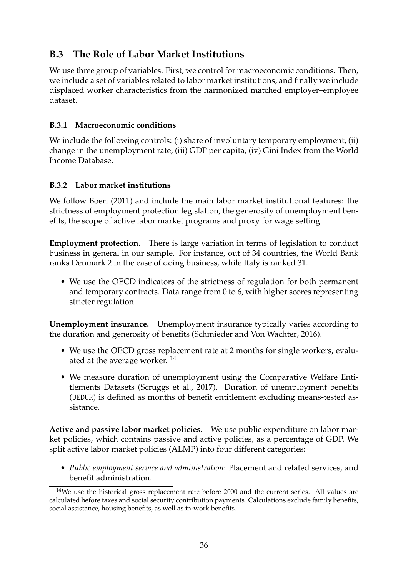## <span id="page-37-0"></span>**B.3 The Role of Labor Market Institutions**

We use three group of variables. First, we control for macroeconomic conditions. Then, we include a set of variables related to labor market institutions, and finally we include displaced worker characteristics from the harmonized matched employer–employee dataset.

## **B.3.1 Macroeconomic conditions**

We include the following controls: (i) share of involuntary temporary employment, (ii) change in the unemployment rate, (iii) GDP per capita, (iv) Gini Index from the World Income Database.

## **B.3.2 Labor market institutions**

We follow [Boeri](#page-20-16) [\(2011\)](#page-20-16) and include the main labor market institutional features: the strictness of employment protection legislation, the generosity of unemployment benefits, the scope of active labor market programs and proxy for wage setting.

**Employment protection.** There is large variation in terms of legislation to conduct business in general in our sample. For instance, out of 34 countries, the [World Bank](#page-50-1) ranks Denmark 2 in the ease of doing business, while Italy is ranked 31.

• We use the OECD indicators of the strictness of regulation for both permanent and temporary contracts. Data range from 0 to 6, with higher scores representing stricter regulation.

**Unemployment insurance.** Unemployment insurance typically varies according to the duration and generosity of benefits [\(Schmieder and Von Wachter, 2016\)](#page-50-2).

- We use the OECD gross replacement rate at 2 months for single workers, evaluated at the average worker.<sup>14</sup>
- We measure duration of unemployment using the Comparative Welfare Entitlements Datasets [\(Scruggs et al., 2017\)](#page-50-3). Duration of unemployment benefits (UEDUR) is defined as months of benefit entitlement excluding means-tested assistance.

**Active and passive labor market policies.** We use public expenditure on labor market policies, which contains passive and active policies, as a percentage of GDP. We split active labor market policies (ALMP) into four different categories:

• *Public employment service and administration*: Placement and related services, and benefit administration.

<sup>&</sup>lt;sup>14</sup>We use the historical gross replacement rate before 2000 and the current series. All values are calculated before taxes and social security contribution payments. Calculations exclude family benefits, social assistance, housing benefits, as well as in-work benefits.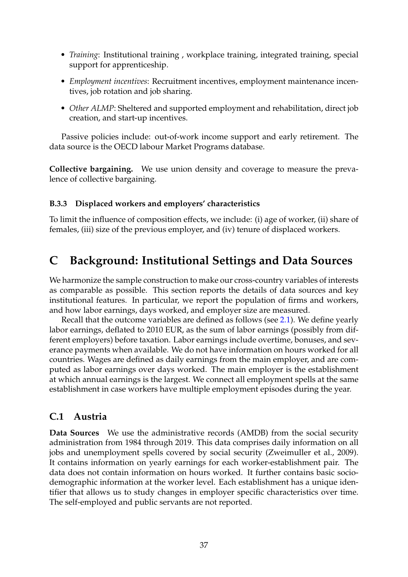- <span id="page-38-2"></span>• *Training*: Institutional training , workplace training, integrated training, special support for apprenticeship.
- *Employment incentives*: Recruitment incentives, employment maintenance incentives, job rotation and job sharing.
- *Other ALMP*: Sheltered and supported employment and rehabilitation, direct job creation, and start-up incentives.

Passive policies include: out-of-work income support and early retirement. The data source is the OECD labour Market Programs database.

**Collective bargaining.** We use union density and coverage to measure the prevalence of collective bargaining.

#### **B.3.3 Displaced workers and employers' characteristics**

To limit the influence of composition effects, we include: (i) age of worker, (ii) share of females, (iii) size of the previous employer, and (iv) tenure of displaced workers.

## <span id="page-38-0"></span>**C Background: Institutional Settings and Data Sources**

We harmonize the sample construction to make our cross-country variables of interests as comparable as possible. This section reports the details of data sources and key institutional features. In particular, we report the population of firms and workers, and how labor earnings, days worked, and employer size are measured.

Recall that the outcome variables are defined as follows (see [2.1\)](#page-5-0). We define yearly labor earnings, deflated to 2010 EUR, as the sum of labor earnings (possibly from different employers) before taxation. Labor earnings include overtime, bonuses, and severance payments when available. We do not have information on hours worked for all countries. Wages are defined as daily earnings from the main employer, and are computed as labor earnings over days worked. The main employer is the establishment at which annual earnings is the largest. We connect all employment spells at the same establishment in case workers have multiple employment episodes during the year.

#### <span id="page-38-1"></span>**C.1 Austria**

**Data Sources** We use the administrative records (AMDB) from the social security administration from 1984 through 2019. This data comprises daily information on all jobs and unemployment spells covered by social security [\(Zweimuller et al., 2009\)](#page-50-4). It contains information on yearly earnings for each worker-establishment pair. The data does not contain information on hours worked. It further contains basic sociodemographic information at the worker level. Each establishment has a unique identifier that allows us to study changes in employer specific characteristics over time. The self-employed and public servants are not reported.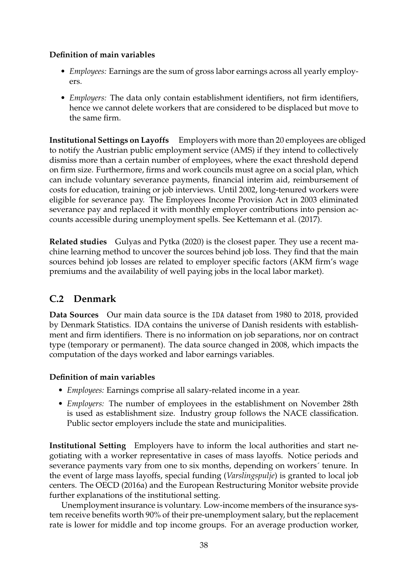## **Definition of main variables**

- *Employees:* Earnings are the sum of gross labor earnings across all yearly employers.
- *Employers:* The data only contain establishment identifiers, not firm identifiers, hence we cannot delete workers that are considered to be displaced but move to the same firm.

**Institutional Settings on Layoffs** Employers with more than 20 employees are obliged to notify the Austrian public employment service (AMS) if they intend to collectively dismiss more than a certain number of employees, where the exact threshold depend on firm size. Furthermore, firms and work councils must agree on a social plan, which can include voluntary severance payments, financial interim aid, reimbursement of costs for education, training or job interviews. Until 2002, long-tenured workers were eligible for severance pay. The Employees Income Provision Act in 2003 eliminated severance pay and replaced it with monthly employer contributions into pension accounts accessible during unemployment spells. See [Kettemann et al.](#page-49-2) [\(2017\)](#page-49-2).

**Related studies** [Gulyas and Pytka](#page-20-0) [\(2020\)](#page-20-0) is the closest paper. They use a recent machine learning method to uncover the sources behind job loss. They find that the main sources behind job losses are related to employer specific factors (AKM firm's wage premiums and the availability of well paying jobs in the local labor market).

## <span id="page-39-0"></span>**C.2 Denmark**

**Data Sources** Our main data source is the IDA dataset from 1980 to 2018, provided by Denmark Statistics. IDA contains the universe of Danish residents with establishment and firm identifiers. There is no information on job separations, nor on contract type (temporary or permanent). The data source changed in 2008, which impacts the computation of the days worked and labor earnings variables.

## **Definition of main variables**

- *Employees:* Earnings comprise all salary-related income in a year.
- *Employers:* The number of employees in the establishment on November 28th is used as establishment size. Industry group follows the NACE classification. Public sector employers include the state and municipalities.

**Institutional Setting** Employers have to inform the local authorities and start negotiating with a worker representative in cases of mass layoffs. Notice periods and severance payments vary from one to six months, depending on workers´ tenure. In the event of large mass layoffs, special funding (*Varslingspulje*) is granted to local job centers. The [OECD](#page-50-5) [\(2016a\)](#page-50-5) and the [European Restructuring Monitor](https://www.eurofound.europa.eu/observatories/emcc/european-restructuring-monitor) website provide further explanations of the institutional setting.

Unemployment insurance is voluntary. Low-income members of the insurance system receive benefits worth 90% of their pre-unemployment salary, but the replacement rate is lower for middle and top income groups. For an average production worker,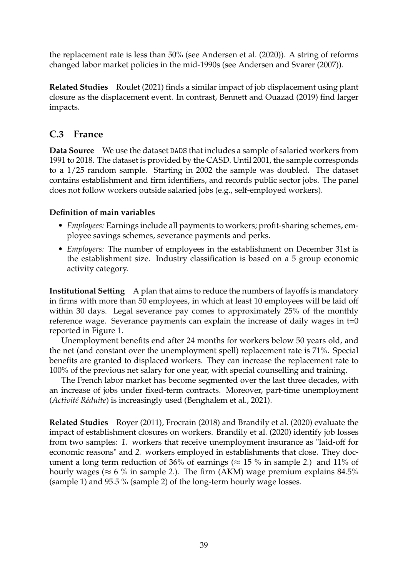the replacement rate is less than 50% (see [Andersen et al.](#page-47-0) [\(2020\)](#page-47-0)). A string of reforms changed labor market policies in the mid-1990s (see [Andersen and Svarer](#page-47-1) [\(2007\)](#page-47-1)).

**Related Studies** [Roulet](#page-21-16) [\(2021\)](#page-21-16) finds a similar impact of job displacement using plant closure as the displacement event. In contrast, [Bennett and Ouazad](#page-20-1) [\(2019\)](#page-20-1) find larger impacts.

## <span id="page-40-0"></span>**C.3 France**

**Data Source** We use the dataset DADS that includes a sample of salaried workers from 1991 to 2018. The dataset is provided by the [CASD.](https://www.casd.eu/) Until 2001, the sample corresponds to a 1/25 random sample. Starting in 2002 the sample was doubled. The dataset contains establishment and firm identifiers, and records public sector jobs. The panel does not follow workers outside salaried jobs (e.g., self-employed workers).

## **Definition of main variables**

- *Employees:* Earnings include all payments to workers; profit-sharing schemes, employee savings schemes, severance payments and perks.
- *Employers:* The number of employees in the establishment on December 31st is the establishment size. Industry classification is based on a 5 group economic activity category.

**Institutional Setting** A plan that aims to reduce the numbers of layoffs is mandatory in firms with more than 50 employees, in which at least 10 employees will be laid off within 30 days. Legal severance pay comes to approximately 25% of the monthly reference wage. Severance payments can explain the increase of daily wages in t=0 reported in Figure [1.](#page-10-0)

Unemployment benefits end after 24 months for workers below 50 years old, and the net (and constant over the unemployment spell) replacement rate is 71%. Special benefits are granted to displaced workers. They can increase the replacement rate to 100% of the previous net salary for one year, with special counselling and training.

The French labor market has become segmented over the last three decades, with an increase of jobs under fixed-term contracts. Moreover, part-time unemployment (*Activité Réduite*) is increasingly used [\(Benghalem et al., 2021\)](#page-47-2).

**Related Studies** [Royer](#page-21-17) [\(2011\)](#page-21-17), [Frocrain](#page-48-2) [\(2018\)](#page-48-2) and [Brandily et al.](#page-20-19) [\(2020\)](#page-20-19) evaluate the impact of establishment closures on workers. [Brandily et al.](#page-20-19) [\(2020\)](#page-20-19) identify job losses from two samples: *1.* workers that receive unemployment insurance as "laid-off for economic reasons" and *2.* workers employed in establishments that close. They document a long term reduction of 36% of earnings ( $\approx$  15 % in sample 2.) and 11% of hourly wages ( $\approx 6\%$  in sample 2.). The firm (AKM) wage premium explains 84.5% (sample 1) and 95.5 % (sample 2) of the long-term hourly wage losses.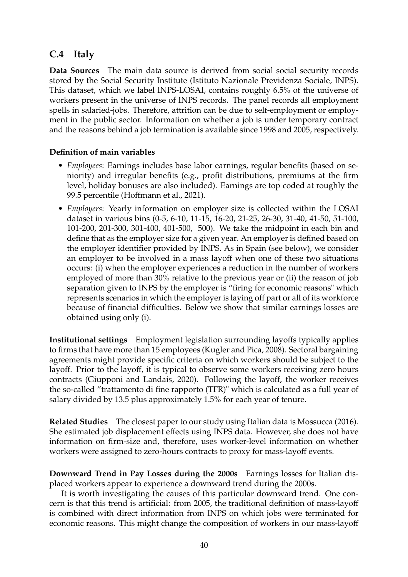## <span id="page-41-0"></span>**C.4 Italy**

**Data Sources** The main data source is derived from social social security records stored by the Social Security Institute (Istituto Nazionale Previdenza Sociale, INPS). This dataset, which we label INPS-LOSAI, contains roughly 6.5% of the universe of workers present in the universe of INPS records. The panel records all employment spells in salaried-jobs. Therefore, attrition can be due to self-employment or employment in the public sector. Information on whether a job is under temporary contract and the reasons behind a job termination is available since 1998 and 2005, respectively.

#### **Definition of main variables**

- *Employees*: Earnings includes base labor earnings, regular benefits (based on seniority) and irregular benefits (e.g., profit distributions, premiums at the firm level, holiday bonuses are also included). Earnings are top coded at roughly the 99.5 percentile [\(Hoffmann et al., 2021\)](#page-49-3).
- *Employers*: Yearly information on employer size is collected within the LOSAI dataset in various bins (0-5, 6-10, 11-15, 16-20, 21-25, 26-30, 31-40, 41-50, 51-100, 101-200, 201-300, 301-400, 401-500, 500). We take the midpoint in each bin and define that as the employer size for a given year. An employer is defined based on the employer identifier provided by INPS. As in Spain (see below), we consider an employer to be involved in a mass layoff when one of these two situations occurs: (i) when the employer experiences a reduction in the number of workers employed of more than 30% relative to the previous year or (ii) the reason of job separation given to INPS by the employer is "firing for economic reasons" which represents scenarios in which the employer is laying off part or all of its workforce because of financial difficulties. Below we show that similar earnings losses are obtained using only (i).

**Institutional settings** Employment legislation surrounding layoffs typically applies to firms that have more than 15 employees [\(Kugler and Pica, 2008\)](#page-49-4). Sectoral bargaining agreements might provide specific criteria on which workers should be subject to the layoff. Prior to the layoff, it is typical to observe some workers receiving zero hours contracts [\(Giupponi and Landais, 2020\)](#page-49-5). Following the layoff, the worker receives the so-called "trattamento di fine rapporto (TFR)" which is calculated as a full year of salary divided by 13.5 plus approximately 1.5% for each year of tenure.

**Related Studies** The closest paper to our study using Italian data is [Mossucca](#page-21-18) [\(2016\)](#page-21-18). She estimated job displacement effects using INPS data. However, she does not have information on firm-size and, therefore, uses worker-level information on whether workers were assigned to zero-hours contracts to proxy for mass-layoff events.

**Downward Trend in Pay Losses during the 2000s** Earnings losses for Italian displaced workers appear to experience a downward trend during the 2000s.

It is worth investigating the causes of this particular downward trend. One concern is that this trend is artificial: from 2005, the traditional definition of mass-layoff is combined with direct information from INPS on which jobs were terminated for economic reasons. This might change the composition of workers in our mass-layoff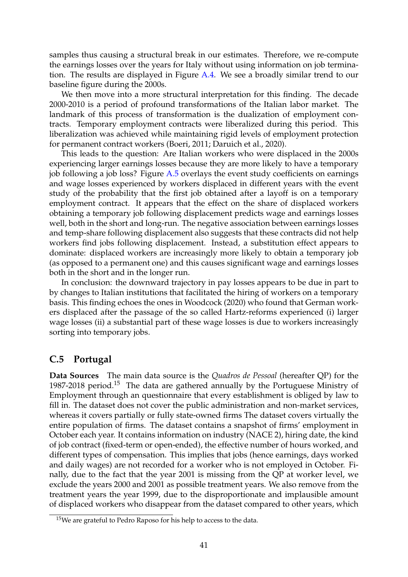samples thus causing a structural break in our estimates. Therefore, we re-compute the earnings losses over the years for Italy without using information on job termination. The results are displayed in Figure [A.4.](#page-33-0) We see a broadly similar trend to our baseline figure during the 2000s.

We then move into a more structural interpretation for this finding. The decade 2000-2010 is a period of profound transformations of the Italian labor market. The landmark of this process of transformation is the dualization of employment contracts. Temporary employment contracts were liberalized during this period. This liberalization was achieved while maintaining rigid levels of employment protection for permanent contract workers [\(Boeri, 2011;](#page-20-16) [Daruich et al., 2020\)](#page-48-3).

This leads to the question: Are Italian workers who were displaced in the 2000s experiencing larger earnings losses because they are more likely to have a temporary job following a job loss? Figure [A.5](#page-34-0) overlays the event study coefficients on earnings and wage losses experienced by workers displaced in different years with the event study of the probability that the first job obtained after a layoff is on a temporary employment contract. It appears that the effect on the share of displaced workers obtaining a temporary job following displacement predicts wage and earnings losses well, both in the short and long-run. The negative association between earnings losses and temp-share following displacement also suggests that these contracts did not help workers find jobs following displacement. Instead, a substitution effect appears to dominate: displaced workers are increasingly more likely to obtain a temporary job (as opposed to a permanent one) and this causes significant wage and earnings losses both in the short and in the longer run.

In conclusion: the downward trajectory in pay losses appears to be due in part to by changes to Italian institutions that facilitated the hiring of workers on a temporary basis. This finding echoes the ones in [Woodcock](#page-21-14) [\(2020\)](#page-21-14) who found that German workers displaced after the passage of the so called Hartz-reforms experienced (i) larger wage losses (ii) a substantial part of these wage losses is due to workers increasingly sorting into temporary jobs.

## <span id="page-42-0"></span>**C.5 Portugal**

**Data Sources** The main data source is the *Quadros de Pessoal* (hereafter QP) for the 1987-2018 period.<sup>15</sup> The data are gathered annually by the Portuguese Ministry of Employment through an questionnaire that every establishment is obliged by law to fill in. The dataset does not cover the public administration and non-market services, whereas it covers partially or fully state-owned firms The dataset covers virtually the entire population of firms. The dataset contains a snapshot of firms' employment in October each year. It contains information on industry (NACE 2), hiring date, the kind of job contract (fixed-term or open-ended), the effective number of hours worked, and different types of compensation. This implies that jobs (hence earnings, days worked and daily wages) are not recorded for a worker who is not employed in October. Finally, due to the fact that the year 2001 is missing from the QP at worker level, we exclude the years 2000 and 2001 as possible treatment years. We also remove from the treatment years the year 1999, due to the disproportionate and implausible amount of displaced workers who disappear from the dataset compared to other years, which

 $15$ We are grateful to Pedro Raposo for his help to access to the data.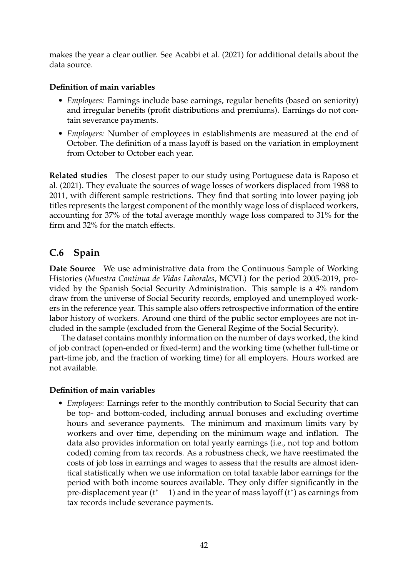makes the year a clear outlier. See [Acabbi et al.](#page-47-3) [\(2021\)](#page-47-3) for additional details about the data source.

#### **Definition of main variables**

- *Employees:* Earnings include base earnings, regular benefits (based on seniority) and irregular benefits (profit distributions and premiums). Earnings do not contain severance payments.
- *Employers:* Number of employees in establishments are measured at the end of October. The definition of a mass layoff is based on the variation in employment from October to October each year.

**Related studies** The closest paper to our study using Portuguese data is [Raposo et](#page-21-19) [al.](#page-21-19) [\(2021\)](#page-21-19). They evaluate the sources of wage losses of workers displaced from 1988 to 2011, with different sample restrictions. They find that sorting into lower paying job titles represents the largest component of the monthly wage loss of displaced workers, accounting for 37% of the total average monthly wage loss compared to 31% for the firm and 32% for the match effects.

## <span id="page-43-0"></span>**C.6 Spain**

**Date Source** We use administrative data from the Continuous Sample of Working Histories (*Muestra Continua de Vidas Laborales*, MCVL) for the period 2005-2019, provided by the Spanish Social Security Administration. This sample is a 4% random draw from the universe of Social Security records, employed and unemployed workers in the reference year. This sample also offers retrospective information of the entire labor history of workers. Around one third of the public sector employees are not included in the sample (excluded from the General Regime of the Social Security).

The dataset contains monthly information on the number of days worked, the kind of job contract (open-ended or fixed-term) and the working time (whether full-time or part-time job, and the fraction of working time) for all employers. Hours worked are not available.

## **Definition of main variables**

• *Employees*: Earnings refer to the monthly contribution to Social Security that can be top- and bottom-coded, including annual bonuses and excluding overtime hours and severance payments. The minimum and maximum limits vary by workers and over time, depending on the minimum wage and inflation. The data also provides information on total yearly earnings (i.e., not top and bottom coded) coming from tax records. As a robustness check, we have reestimated the costs of job loss in earnings and wages to assess that the results are almost identical statistically when we use information on total taxable labor earnings for the period with both income sources available. They only differ significantly in the pre-displacement year (*t* <sup>∗</sup> − 1) and in the year of mass layoff (*t* ∗ ) as earnings from tax records include severance payments.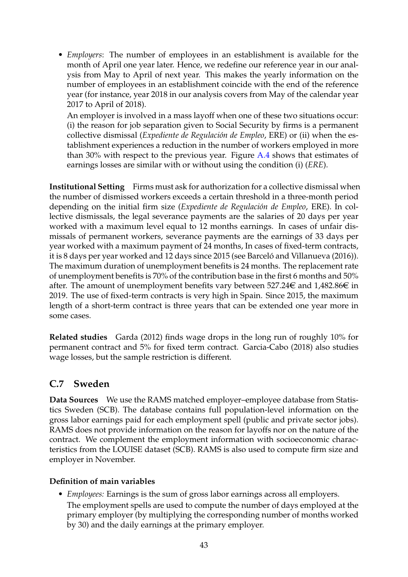• *Employers*: The number of employees in an establishment is available for the month of April one year later. Hence, we redefine our reference year in our analysis from May to April of next year. This makes the yearly information on the number of employees in an establishment coincide with the end of the reference year (for instance, year 2018 in our analysis covers from May of the calendar year 2017 to April of 2018).

An employer is involved in a mass layoff when one of these two situations occur: (i) the reason for job separation given to Social Security by firms is a permanent collective dismissal (*Expediente de Regulación de Empleo*, ERE) or (ii) when the establishment experiences a reduction in the number of workers employed in more than 30% with respect to the previous year. Figure [A.4](#page-33-0) shows that estimates of earnings losses are similar with or without using the condition (i) (*ERE*).

**Institutional Setting** Firms must ask for authorization for a collective dismissal when the number of dismissed workers exceeds a certain threshold in a three-month period depending on the initial firm size (*Expediente de Regulación de Empleo*, ERE). In collective dismissals, the legal severance payments are the salaries of 20 days per year worked with a maximum level equal to 12 months earnings. In cases of unfair dismissals of permanent workers, severance payments are the earnings of 33 days per year worked with a maximum payment of 24 months, In cases of fixed-term contracts, it is 8 days per year worked and 12 days since 2015 (see [Barceló and Villanueva](#page-47-4) [\(2016\)](#page-47-4)). The maximum duration of unemployment benefits is 24 months. The replacement rate of unemployment benefits is 70% of the contribution base in the first 6 months and 50% after. The amount of unemployment benefits vary between 527.24 $\in$  and 1,482.86 $\in$  in 2019. The use of fixed-term contracts is very high in Spain. Since 2015, the maximum length of a short-term contract is three years that can be extended one year more in some cases.

**Related studies** [Garda](#page-48-4) [\(2012\)](#page-48-4) finds wage drops in the long run of roughly 10% for permanent contract and 5% for fixed term contract. [Garcia-Cabo](#page-20-20) [\(2018\)](#page-20-20) also studies wage losses, but the sample restriction is different.

## <span id="page-44-0"></span>**C.7 Sweden**

**Data Sources** We use the RAMS matched employer–employee database from Statistics Sweden (SCB). The database contains full population-level information on the gross labor earnings paid for each employment spell (public and private sector jobs). RAMS does not provide information on the reason for layoffs nor on the nature of the contract. We complement the employment information with socioeconomic characteristics from the LOUISE dataset (SCB). RAMS is also used to compute firm size and employer in November.

## **Definition of main variables**

• *Employees:* Earnings is the sum of gross labor earnings across all employers. The employment spells are used to compute the number of days employed at the primary employer (by multiplying the corresponding number of months worked by 30) and the daily earnings at the primary employer.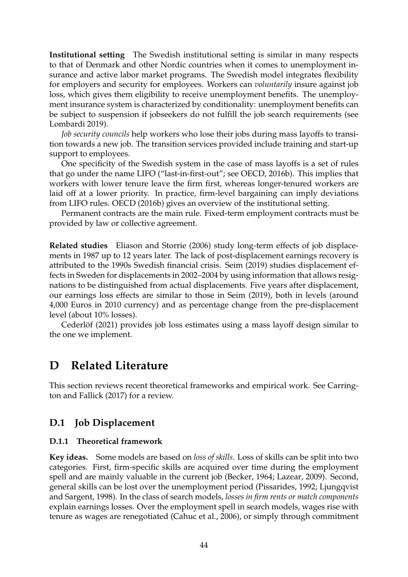**Institutional setting** The Swedish institutional setting is similar in many respects to that of Denmark and other Nordic countries when it comes to unemployment insurance and active labor market programs. The Swedish model integrates flexibility for employers and security for employees. Workers can *voluntarily* insure against job loss, which gives them eligibility to receive unemployment benefits. The unemployment insurance system is characterized by conditionality: unemployment benefits can be subject to suspension if jobseekers do not fulfill the job search requirements (see [Lombardi 2019\)](#page-49-6).

*Job security councils* help workers who lose their jobs during mass layoffs to transition towards a new job. The transition services provided include training and start-up support to employees.

One specificity of the Swedish system in the case of mass layoffs is a set of rules that go under the name LIFO ("last-in-first-out"; see [OECD, 2016b\)](#page-50-6). This implies that workers with lower tenure leave the firm first, whereas longer-tenured workers are laid off at a lower priority. In practice, firm-level bargaining can imply deviations from LIFO rules. [OECD](#page-50-6) [\(2016b\)](#page-50-6) gives an overview of the institutional setting.

Permanent contracts are the main rule. Fixed-term employment contracts must be provided by law or collective agreement.

**Related studies** [Eliason and Storrie](#page-20-21) [\(2006\)](#page-20-21) study long-term effects of job displacements in 1987 up to 12 years later. The lack of post-displacement earnings recovery is attributed to the 1990s Swedish financial crisis. [Seim](#page-21-20) [\(2019\)](#page-21-20) studies displacement effects in Sweden for displacements in 2002–2004 by using information that allows resignations to be distinguished from actual displacements. Five years after displacement, our earnings loss effects are similar to those in [Seim](#page-21-20) [\(2019\)](#page-21-20), both in levels (around 4,000 Euros in 2010 currency) and as percentage change from the pre-displacement level (about 10% losses).

[Cederlöf](#page-48-5) [\(2021\)](#page-48-5) provides job loss estimates using a mass layoff design similar to the one we implement.

## <span id="page-45-0"></span>**D Related Literature**

This section reviews recent theoretical frameworks and empirical work. See [Carring](#page-48-6)[ton and Fallick](#page-48-6) [\(2017\)](#page-48-6) for a review.

## <span id="page-45-1"></span>**D.1 Job Displacement**

#### **D.1.1 Theoretical framework**

**Key ideas.** Some models are based on *loss of skills*. Loss of skills can be split into two categories. First, firm-specific skills are acquired over time during the employment spell and are mainly valuable in the current job [\(Becker, 1964;](#page-47-5) [Lazear, 2009\)](#page-49-7). Second, general skills can be lost over the unemployment period [\(Pissarides, 1992;](#page-50-7) [Ljungqvist](#page-49-8) [and Sargent, 1998\)](#page-49-8). In the class of search models, *losses in firm rents or match components* explain earnings losses. Over the employment spell in search models, wages rise with tenure as wages are renegotiated [\(Cahuc et al., 2006\)](#page-48-7), or simply through commitment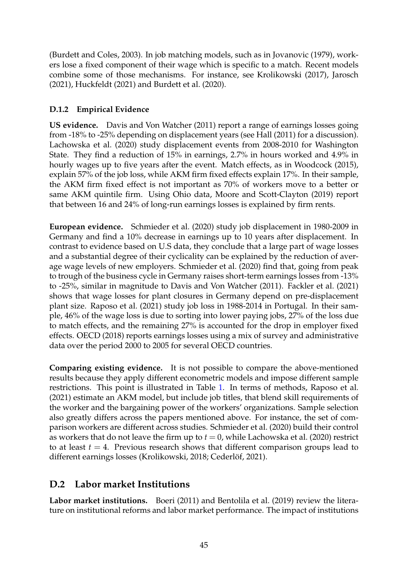[\(Burdett and Coles, 2003\)](#page-48-8). In job matching models, such as in [Jovanovic](#page-49-9) [\(1979\)](#page-49-9), workers lose a fixed component of their wage which is specific to a match. Recent models combine some of those mechanisms. For instance, see [Krolikowski](#page-49-10) [\(2017\)](#page-49-10), [Jarosch](#page-49-11) [\(2021\)](#page-49-11), [Huckfeldt](#page-49-12) [\(2021\)](#page-49-12) and [Burdett et al.](#page-48-9) [\(2020\)](#page-48-9).

## **D.1.2 Empirical Evidence**

**US evidence.** [Davis and Von Watcher](#page-20-2) [\(2011\)](#page-20-2) report a range of earnings losses going from -18% to -25% depending on displacement years (see [Hall](#page-49-13) [\(2011\)](#page-49-13) for a discussion). [Lachowska et al.](#page-21-1) [\(2020\)](#page-21-1) study displacement events from 2008-2010 for Washington State. They find a reduction of 15% in earnings, 2.7% in hours worked and 4.9% in hourly wages up to five years after the event. Match effects, as in [Woodcock](#page-50-8) [\(2015\)](#page-50-8), explain 57% of the job loss, while AKM firm fixed effects explain 17%. In their sample, the AKM firm fixed effect is not important as 70% of workers move to a better or same AKM quintile firm. Using Ohio data, [Moore and Scott-Clayton](#page-49-14) [\(2019\)](#page-49-14) report that between 16 and 24% of long-run earnings losses is explained by firm rents.

**European evidence.** [Schmieder et al.](#page-21-2) [\(2020\)](#page-21-2) study job displacement in 1980-2009 in Germany and find a 10% decrease in earnings up to 10 years after displacement. In contrast to evidence based on U.S data, they conclude that a large part of wage losses and a substantial degree of their cyclicality can be explained by the reduction of average wage levels of new employers. [Schmieder et al.](#page-21-2) [\(2020\)](#page-21-2) find that, going from peak to trough of the business cycle in Germany raises short-term earnings losses from -13% to -25%, similar in magnitude to [Davis and Von Watcher](#page-20-2) [\(2011\)](#page-20-2). [Fackler et al.](#page-20-22) [\(2021\)](#page-20-22) shows that wage losses for plant closures in Germany depend on pre-displacement plant size. [Raposo et al.](#page-21-19) [\(2021\)](#page-21-19) study job loss in 1988-2014 in Portugal. In their sample, 46% of the wage loss is due to sorting into lower paying jobs, 27% of the loss due to match effects, and the remaining 27% is accounted for the drop in employer fixed effects. [OECD](#page-50-9) [\(2018\)](#page-50-9) reports earnings losses using a mix of survey and administrative data over the period 2000 to 2005 for several OECD countries.

**Comparing existing evidence.** It is not possible to compare the above-mentioned results because they apply different econometric models and impose different sample restrictions. This point is illustrated in Table [1.](#page-6-0) In terms of methods, [Raposo et al.](#page-21-19) [\(2021\)](#page-21-19) estimate an AKM model, but include job titles, that blend skill requirements of the worker and the bargaining power of the workers' organizations. Sample selection also greatly differs across the papers mentioned above. For instance, the set of comparison workers are different across studies. [Schmieder et al.](#page-21-2) [\(2020\)](#page-21-2) build their control as workers that do not leave the firm up to  $t = 0$ , while [Lachowska et al.](#page-21-1) [\(2020\)](#page-21-1) restrict to at least  $t = 4$ . Previous research shows that different comparison groups lead to different earnings losses [\(Krolikowski, 2018;](#page-21-13) [Cederlöf, 2021\)](#page-48-5).

## <span id="page-46-0"></span>**D.2 Labor market Institutions**

**Labor market institutions.** [Boeri](#page-20-16) [\(2011\)](#page-20-16) and [Bentolila et al.](#page-47-6) [\(2019\)](#page-47-6) review the literature on institutional reforms and labor market performance. The impact of institutions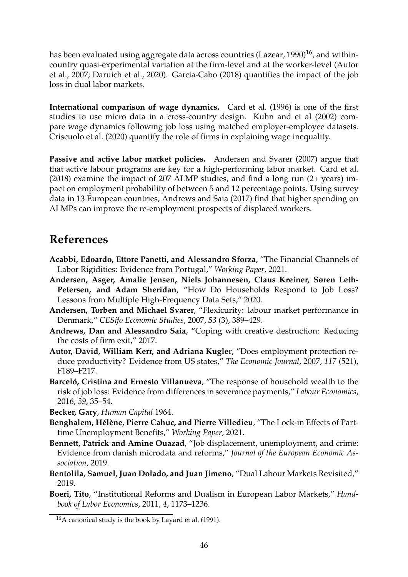has been evaluated using aggregate data across countries [\(Lazear, 1990\)](#page-49-15)<sup>16</sup>, and withincountry quasi-experimental variation at the firm-level and at the worker-level [\(Autor](#page-47-7) [et al., 2007;](#page-47-7) [Daruich et al., 2020\)](#page-48-3). [Garcia-Cabo](#page-20-20) [\(2018\)](#page-20-20) quantifies the impact of the job loss in dual labor markets.

**International comparison of wage dynamics.** [Card et al.](#page-48-10) [\(1996\)](#page-48-10) is one of the first studies to use micro data in a cross-country design. [Kuhn and et al](#page-49-16) [\(2002\)](#page-49-16) compare wage dynamics following job loss using matched employer-employee datasets. [Criscuolo et al.](#page-48-11) [\(2020\)](#page-48-11) quantify the role of firms in explaining wage inequality.

**Passive and active labor market policies.** [Andersen and Svarer](#page-47-1) [\(2007\)](#page-47-1) argue that that active labour programs are key for a high-performing labor market. [Card et al.](#page-20-18) [\(2018\)](#page-20-18) examine the impact of 207 ALMP studies, and find a long run (2+ years) impact on employment probability of between 5 and 12 percentage points. Using survey data in 13 European countries, [Andrews and Saia](#page-47-8) [\(2017\)](#page-47-8) find that higher spending on ALMPs can improve the re-employment prospects of displaced workers.

## **References**

- <span id="page-47-3"></span>**Acabbi, Edoardo, Ettore Panetti, and Alessandro Sforza**, "The Financial Channels of Labor Rigidities: Evidence from Portugal," *Working Paper*, 2021.
- <span id="page-47-0"></span>**Andersen, Asger, Amalie Jensen, Niels Johannesen, Claus Kreiner, Søren Leth-Petersen, and Adam Sheridan**, "How Do Households Respond to Job Loss? Lessons from Multiple High-Frequency Data Sets," 2020.
- <span id="page-47-1"></span>**Andersen, Torben and Michael Svarer**, "Flexicurity: labour market performance in Denmark," *CESifo Economic Studies*, 2007, *53* (3), 389–429.
- <span id="page-47-8"></span>**Andrews, Dan and Alessandro Saia**, "Coping with creative destruction: Reducing the costs of firm exit," 2017.
- <span id="page-47-7"></span>**Autor, David, William Kerr, and Adriana Kugler**, "Does employment protection reduce productivity? Evidence from US states," *The Economic Journal*, 2007, *117* (521), F189–F217.
- <span id="page-47-4"></span>**Barceló, Cristina and Ernesto Villanueva**, "The response of household wealth to the risk of job loss: Evidence from differences in severance payments," *Labour Economics*, 2016, *39*, 35–54.
- <span id="page-47-5"></span>**Becker, Gary**, *Human Capital* 1964.
- <span id="page-47-2"></span>**Benghalem, Hélène, Pierre Cahuc, and Pierre Villedieu**, "The Lock-in Effects of Parttime Unemployment Benefits," *Working Paper*, 2021.
- **Bennett, Patrick and Amine Ouazad**, "Job displacement, unemployment, and crime: Evidence from danish microdata and reforms," *Journal of the European Economic Association*, 2019.
- <span id="page-47-6"></span>**Bentolila, Samuel, Juan Dolado, and Juan Jimeno**, "Dual Labour Markets Revisited," 2019.
- **Boeri, Tito**, "Institutional Reforms and Dualism in European Labor Markets," *Handbook of Labor Economics*, 2011, *4*, 1173–1236.

<sup>16</sup>A canonical study is the book by [Layard et al.](#page-49-17) [\(1991\)](#page-49-17).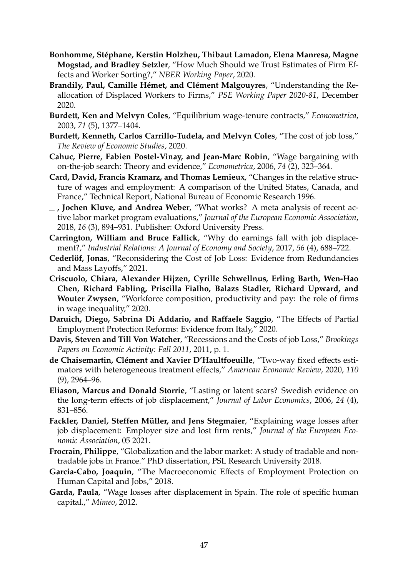- <span id="page-48-1"></span>**Bonhomme, Stéphane, Kerstin Holzheu, Thibaut Lamadon, Elena Manresa, Magne Mogstad, and Bradley Setzler**, "How Much Should we Trust Estimates of Firm Effects and Worker Sorting?," *NBER Working Paper*, 2020.
- **Brandily, Paul, Camille Hémet, and Clément Malgouyres**, "Understanding the Reallocation of Displaced Workers to Firms," *PSE Working Paper 2020-81*, December 2020.
- <span id="page-48-8"></span>**Burdett, Ken and Melvyn Coles**, "Equilibrium wage-tenure contracts," *Econometrica*, 2003, *71* (5), 1377–1404.
- <span id="page-48-9"></span>**Burdett, Kenneth, Carlos Carrillo-Tudela, and Melvyn Coles**, "The cost of job loss," *The Review of Economic Studies*, 2020.
- <span id="page-48-7"></span>**Cahuc, Pierre, Fabien Postel-Vinay, and Jean-Marc Robin**, "Wage bargaining with on-the-job search: Theory and evidence," *Econometrica*, 2006, *74* (2), 323–364.
- <span id="page-48-10"></span>**Card, David, Francis Kramarz, and Thomas Lemieux**, "Changes in the relative structure of wages and employment: A comparison of the United States, Canada, and France," Technical Report, National Bureau of Economic Research 1996.
- **, Jochen Kluve, and Andrea Weber**, "What works? A meta analysis of recent active labor market program evaluations," *Journal of the European Economic Association*, 2018, *16* (3), 894–931. Publisher: Oxford University Press.
- <span id="page-48-6"></span>**Carrington, William and Bruce Fallick**, "Why do earnings fall with job displacement?," *Industrial Relations: A Journal of Economy and Society*, 2017, *56* (4), 688–722.
- <span id="page-48-5"></span>**Cederlöf, Jonas**, "Reconsidering the Cost of Job Loss: Evidence from Redundancies and Mass Layoffs," 2021.
- <span id="page-48-11"></span>**Criscuolo, Chiara, Alexander Hijzen, Cyrille Schwellnus, Erling Barth, Wen-Hao Chen, Richard Fabling, Priscilla Fialho, Balazs Stadler, Richard Upward, and Wouter Zwysen**, "Workforce composition, productivity and pay: the role of firms in wage inequality," 2020.
- <span id="page-48-3"></span>**Daruich, Diego, Sabrina Di Addario, and Raffaele Saggio**, "The Effects of Partial Employment Protection Reforms: Evidence from Italy," 2020.
- **Davis, Steven and Till Von Watcher**, "Recessions and the Costs of job Loss," *Brookings Papers on Economic Activity: Fall 2011*, 2011, p. 1.
- <span id="page-48-0"></span>**de Chaisemartin, Clément and Xavier D'Haultfoeuille**, "Two-way fixed effects estimators with heterogeneous treatment effects," *American Economic Review*, 2020, *110* (9), 2964–96.
- **Eliason, Marcus and Donald Storrie**, "Lasting or latent scars? Swedish evidence on the long-term effects of job displacement," *Journal of Labor Economics*, 2006, *24* (4), 831–856.
- **Fackler, Daniel, Steffen Müller, and Jens Stegmaier**, "Explaining wage losses after job displacement: Employer size and lost firm rents," *Journal of the European Economic Association*, 05 2021.
- <span id="page-48-2"></span>**Frocrain, Philippe**, "Globalization and the labor market: A study of tradable and nontradable jobs in France." PhD dissertation, PSL Research University 2018.
- **Garcia-Cabo, Joaquin**, "The Macroeconomic Effects of Employment Protection on Human Capital and Jobs," 2018.
- <span id="page-48-4"></span>**Garda, Paula**, "Wage losses after displacement in Spain. The role of specific human capital.," *Mimeo*, 2012.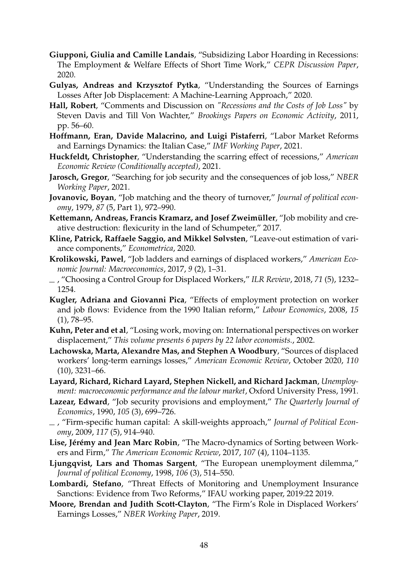- <span id="page-49-5"></span>**Giupponi, Giulia and Camille Landais**, "Subsidizing Labor Hoarding in Recessions: The Employment & Welfare Effects of Short Time Work," *CEPR Discussion Paper*, 2020.
- **Gulyas, Andreas and Krzysztof Pytka**, "Understanding the Sources of Earnings Losses After Job Displacement: A Machine-Learning Approach," 2020.
- <span id="page-49-13"></span>**Hall, Robert**, "Comments and Discussion on *"Recessions and the Costs of Job Loss"* by Steven Davis and Till Von Wachter," *Brookings Papers on Economic Activity*, 2011, pp. 56–60.
- <span id="page-49-3"></span>**Hoffmann, Eran, Davide Malacrino, and Luigi Pistaferri**, "Labor Market Reforms and Earnings Dynamics: the Italian Case," *IMF Working Paper*, 2021.
- <span id="page-49-12"></span>**Huckfeldt, Christopher**, "Understanding the scarring effect of recessions," *American Economic Review (Conditionally accepted)*, 2021.
- <span id="page-49-11"></span>**Jarosch, Gregor**, "Searching for job security and the consequences of job loss," *NBER Working Paper*, 2021.
- <span id="page-49-9"></span>**Jovanovic, Boyan**, "Job matching and the theory of turnover," *Journal of political economy*, 1979, *87* (5, Part 1), 972–990.
- <span id="page-49-2"></span>**Kettemann, Andreas, Francis Kramarz, and Josef Zweimüller**, "Job mobility and creative destruction: flexicurity in the land of Schumpeter," 2017.
- <span id="page-49-0"></span>**Kline, Patrick, Raffaele Saggio, and Mikkel Sølvsten**, "Leave-out estimation of variance components," *Econometrica*, 2020.
- <span id="page-49-10"></span>**Krolikowski, Pawel**, "Job ladders and earnings of displaced workers," *American Economic Journal: Macroeconomics*, 2017, *9* (2), 1–31.
- , "Choosing a Control Group for Displaced Workers," *ILR Review*, 2018, *71* (5), 1232– 1254.
- <span id="page-49-4"></span>**Kugler, Adriana and Giovanni Pica**, "Effects of employment protection on worker and job flows: Evidence from the 1990 Italian reform," *Labour Economics*, 2008, *15* (1), 78–95.
- <span id="page-49-16"></span>**Kuhn, Peter and et al**, "Losing work, moving on: International perspectives on worker displacement," *This volume presents 6 papers by 22 labor economists.*, 2002.
- **Lachowska, Marta, Alexandre Mas, and Stephen A Woodbury**, "Sources of displaced workers' long-term earnings losses," *American Economic Review*, October 2020, *110* (10), 3231–66.
- <span id="page-49-17"></span>**Layard, Richard, Richard Layard, Stephen Nickell, and Richard Jackman**, *Unemployment: macroeconomic performance and the labour market*, Oxford University Press, 1991.
- <span id="page-49-15"></span>**Lazear, Edward**, "Job security provisions and employment," *The Quarterly Journal of Economics*, 1990, *105* (3), 699–726.
- <span id="page-49-7"></span>, "Firm-specific human capital: A skill-weights approach," *Journal of Political Economy*, 2009, *117* (5), 914–940.
- <span id="page-49-1"></span>**Lise, Jérémy and Jean Marc Robin**, "The Macro-dynamics of Sorting between Workers and Firm," *The American Economic Review*, 2017, *107* (4), 1104–1135.
- <span id="page-49-8"></span>**Ljungqvist, Lars and Thomas Sargent**, "The European unemployment dilemma," *Journal of political Economy*, 1998, *106* (3), 514–550.
- <span id="page-49-6"></span>**Lombardi, Stefano**, "Threat Effects of Monitoring and Unemployment Insurance Sanctions: Evidence from Two Reforms," IFAU working paper, 2019:22 2019.
- <span id="page-49-14"></span>**Moore, Brendan and Judith Scott-Clayton**, "The Firm's Role in Displaced Workers' Earnings Losses," *NBER Working Paper*, 2019.